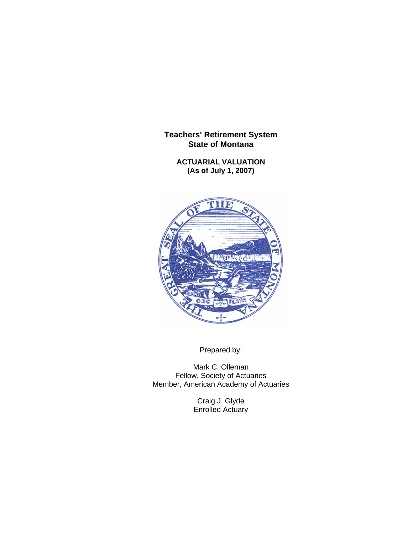**ACTUARIAL VALUATION (As of July 1, 2007)** 



Prepared by:

Mark C. Olleman Fellow, Society of Actuaries Member, American Academy of Actuaries

> Craig J. Glyde Enrolled Actuary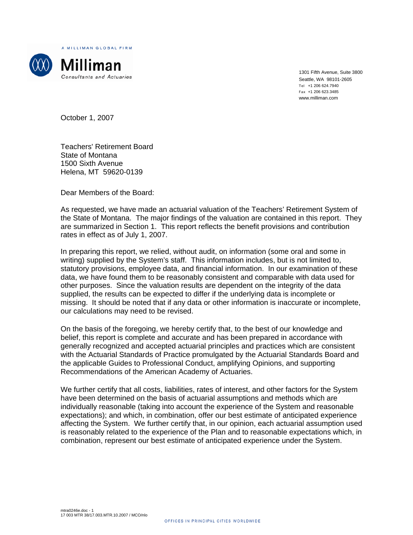

1301 Fifth Avenue, Suite 3800 Seattle, WA 98101-2605 Tel +1 206 624.7940 Fax +1 206 623.3485 www.milliman.com

October 1, 2007

Teachers' Retirement Board State of Montana 1500 Sixth Avenue Helena, MT 59620-0139

Dear Members of the Board:

As requested, we have made an actuarial valuation of the Teachers' Retirement System of the State of Montana. The major findings of the valuation are contained in this report. They are summarized in Section 1. This report reflects the benefit provisions and contribution rates in effect as of July 1, 2007.

In preparing this report, we relied, without audit, on information (some oral and some in writing) supplied by the System's staff. This information includes, but is not limited to, statutory provisions, employee data, and financial information. In our examination of these data, we have found them to be reasonably consistent and comparable with data used for other purposes. Since the valuation results are dependent on the integrity of the data supplied, the results can be expected to differ if the underlying data is incomplete or missing. It should be noted that if any data or other information is inaccurate or incomplete, our calculations may need to be revised.

On the basis of the foregoing, we hereby certify that, to the best of our knowledge and belief, this report is complete and accurate and has been prepared in accordance with generally recognized and accepted actuarial principles and practices which are consistent with the Actuarial Standards of Practice promulgated by the Actuarial Standards Board and the applicable Guides to Professional Conduct, amplifying Opinions, and supporting Recommendations of the American Academy of Actuaries.

We further certify that all costs, liabilities, rates of interest, and other factors for the System have been determined on the basis of actuarial assumptions and methods which are individually reasonable (taking into account the experience of the System and reasonable expectations); and which, in combination, offer our best estimate of anticipated experience affecting the System. We further certify that, in our opinion, each actuarial assumption used is reasonably related to the experience of the Plan and to reasonable expectations which, in combination, represent our best estimate of anticipated experience under the System.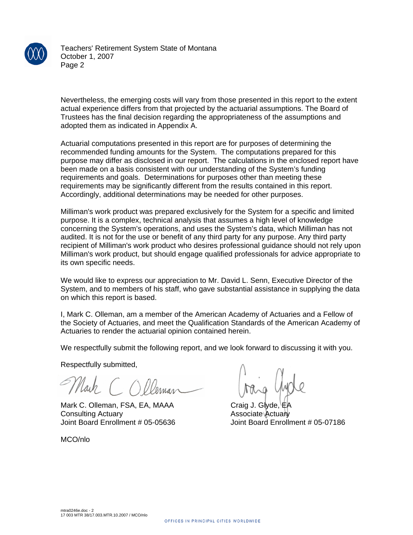

Teachers' Retirement System State of Montana October 1, 2007 Page 2

Nevertheless, the emerging costs will vary from those presented in this report to the extent actual experience differs from that projected by the actuarial assumptions. The Board of Trustees has the final decision regarding the appropriateness of the assumptions and adopted them as indicated in Appendix A.

Actuarial computations presented in this report are for purposes of determining the recommended funding amounts for the System. The computations prepared for this purpose may differ as disclosed in our report. The calculations in the enclosed report have been made on a basis consistent with our understanding of the System's funding requirements and goals. Determinations for purposes other than meeting these requirements may be significantly different from the results contained in this report. Accordingly, additional determinations may be needed for other purposes.

Milliman's work product was prepared exclusively for the System for a specific and limited purpose. It is a complex, technical analysis that assumes a high level of knowledge concerning the System's operations, and uses the System's data, which Milliman has not audited. It is not for the use or benefit of any third party for any purpose. Any third party recipient of Milliman's work product who desires professional guidance should not rely upon Milliman's work product, but should engage qualified professionals for advice appropriate to its own specific needs.

We would like to express our appreciation to Mr. David L. Senn, Executive Director of the System, and to members of his staff, who gave substantial assistance in supplying the data on which this report is based.

I, Mark C. Olleman, am a member of the American Academy of Actuaries and a Fellow of the Society of Actuaries, and meet the Qualification Standards of the American Academy of Actuaries to render the actuarial opinion contained herein.

We respectfully submit the following report, and we look forward to discussing it with you.

Respectfully submitted,

Mark C. Olleman, FSA, EA, MAAA Craig J. Glyde, Consulting Actuary **Associate** Actuary **Associate** Actuary

Joint Board Enrollment # 05-05636 Joint Board Enrollment # 05-07186

MCO/nlo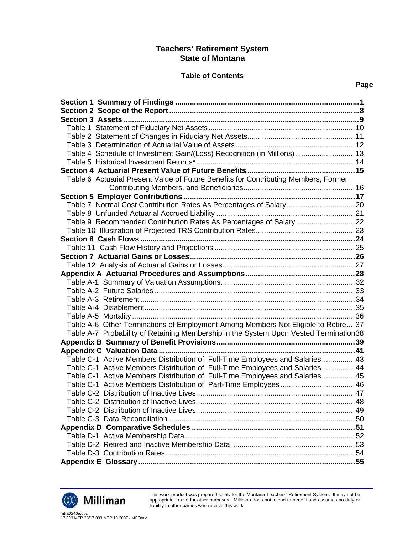## **Table of Contents**

## **Page**

| Table 4 Schedule of Investment Gain/(Loss) Recognition (in Millions) 13               |  |
|---------------------------------------------------------------------------------------|--|
|                                                                                       |  |
|                                                                                       |  |
| Table 6 Actuarial Present Value of Future Benefits for Contributing Members, Former   |  |
|                                                                                       |  |
|                                                                                       |  |
|                                                                                       |  |
|                                                                                       |  |
| Table 9 Recommended Contribution Rates As Percentages of Salary 22                    |  |
|                                                                                       |  |
|                                                                                       |  |
|                                                                                       |  |
|                                                                                       |  |
|                                                                                       |  |
|                                                                                       |  |
|                                                                                       |  |
|                                                                                       |  |
|                                                                                       |  |
|                                                                                       |  |
|                                                                                       |  |
| Table A-6 Other Terminations of Employment Among Members Not Eligible to Retire37     |  |
| Table A-7 Probability of Retaining Membership in the System Upon Vested Termination38 |  |
|                                                                                       |  |
|                                                                                       |  |
| Table C-1 Active Members Distribution of Full-Time Employees and Salaries43           |  |
| Table C-1 Active Members Distribution of Full-Time Employees and Salaries44           |  |
| Table C-1 Active Members Distribution of Full-Time Employees and Salaries45           |  |
|                                                                                       |  |
|                                                                                       |  |
|                                                                                       |  |
|                                                                                       |  |
|                                                                                       |  |
|                                                                                       |  |
|                                                                                       |  |
|                                                                                       |  |
|                                                                                       |  |
|                                                                                       |  |



This work product was prepared solely for the Montana Teachers' Retirement System. It may not be appropriate to use for other purposes. Milliman does not intend to benefit and assumes no duty or liability to other parties who receive this work.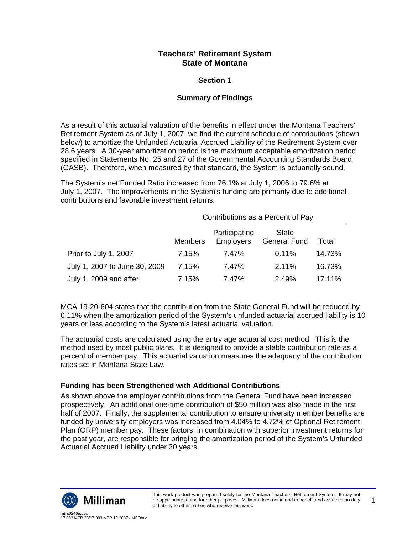## **Section 1**

## **Summary of Findings**

As a result of this actuarial valuation of the benefits in effect under the Montana Teachers' Retirement System as of July 1, 2007, we find the current schedule of contributions (shown below) to amortize the Unfunded Actuarial Accrued Liability of the Retirement System over 28.6 years. A 30-year amortization period is the maximum acceptable amortization period specified in Statements No. 25 and 27 of the Governmental Accounting Standards Board (GASB). Therefore, when measured by that standard, the System is actuarially sound.

The System's net Funded Ratio increased from 76.1% at July 1, 2006 to 79.6% at July 1, 2007. The improvements in the System's funding are primarily due to additional contributions and favorable investment returns.

|                               | Contributions as a Percent of Pay |                                   |                              |        |  |  |
|-------------------------------|-----------------------------------|-----------------------------------|------------------------------|--------|--|--|
|                               | <b>Members</b>                    | Participating<br><b>Employers</b> | State<br><b>General Fund</b> | Total  |  |  |
| Prior to July 1, 2007         | 7.15%                             | 7.47%                             | 0.11%                        | 14.73% |  |  |
| July 1, 2007 to June 30, 2009 | 7.15%                             | 7.47%                             | 2.11%                        | 16.73% |  |  |
| July 1, 2009 and after        | 7.15%                             | 7.47%                             | 2.49%                        | 17.11% |  |  |

MCA 19-20-604 states that the contribution from the State General Fund will be reduced by 0.11% when the amortization period of the System's unfunded actuarial accrued liability is 10 years or less according to the System's latest actuarial valuation.

The actuarial costs are calculated using the entry age actuarial cost method. This is the method used by most public plans. It is designed to provide a stable contribution rate as a percent of member pay. This actuarial valuation measures the adequacy of the contribution rates set in Montana State Law.

## **Funding has been Strengthened with Additional Contributions**

As shown above the employer contributions from the General Fund have been increased prospectively. An additional one-time contribution of \$50 million was also made in the first half of 2007. Finally, the supplemental contribution to ensure university member benefits are funded by university employers was increased from 4.04% to 4.72% of Optional Retirement Plan (ORP) member pay. These factors, in combination with superior investment returns for the past year, are responsible for bringing the amortization period of the System's Unfunded Actuarial Accrued Liability under 30 years.

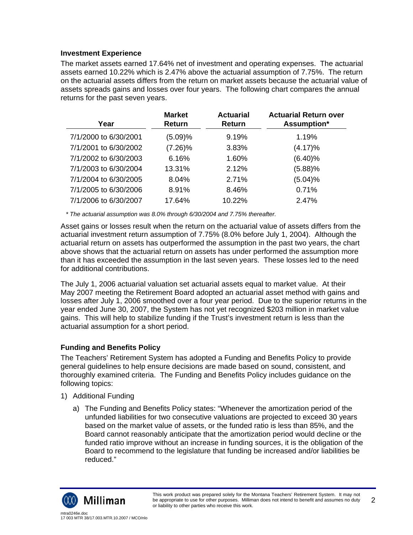## **Investment Experience**

The market assets earned 17.64% net of investment and operating expenses. The actuarial assets earned 10.22% which is 2.47% above the actuarial assumption of 7.75%. The return on the actuarial assets differs from the return on market assets because the actuarial value of assets spreads gains and losses over four years. The following chart compares the annual returns for the past seven years.

| Year                  | <b>Market</b><br>Return | <b>Actuarial</b><br>Return | <b>Actuarial Return over</b><br>Assumption* |
|-----------------------|-------------------------|----------------------------|---------------------------------------------|
| 7/1/2000 to 6/30/2001 | (5.09)%                 | 9.19%                      | 1.19%                                       |
| 7/1/2001 to 6/30/2002 | $(7.26)\%$              | 3.83%                      | $(4.17)\%$                                  |
| 7/1/2002 to 6/30/2003 | 6.16%                   | 1.60%                      | $(6.40)\%$                                  |
| 7/1/2003 to 6/30/2004 | 13.31%                  | 2.12%                      | $(5.88)\%$                                  |
| 7/1/2004 to 6/30/2005 | 8.04%                   | 2.71%                      | $(5.04)\%$                                  |
| 7/1/2005 to 6/30/2006 | 8.91%                   | 8.46%                      | 0.71%                                       |
| 7/1/2006 to 6/30/2007 | 17.64%                  | 10.22%                     | 2.47%                                       |

 *\* The actuarial assumption was 8.0% through 6/30/2004 and 7.75% thereafter.* 

Asset gains or losses result when the return on the actuarial value of assets differs from the actuarial investment return assumption of 7.75% (8.0% before July 1, 2004). Although the actuarial return on assets has outperformed the assumption in the past two years, the chart above shows that the actuarial return on assets has under performed the assumption more than it has exceeded the assumption in the last seven years. These losses led to the need for additional contributions.

The July 1, 2006 actuarial valuation set actuarial assets equal to market value. At their May 2007 meeting the Retirement Board adopted an actuarial asset method with gains and losses after July 1, 2006 smoothed over a four year period. Due to the superior returns in the year ended June 30, 2007, the System has not yet recognized \$203 million in market value gains. This will help to stabilize funding if the Trust's investment return is less than the actuarial assumption for a short period.

## **Funding and Benefits Policy**

The Teachers' Retirement System has adopted a Funding and Benefits Policy to provide general guidelines to help ensure decisions are made based on sound, consistent, and thoroughly examined criteria. The Funding and Benefits Policy includes guidance on the following topics:

- 1) Additional Funding
	- a) The Funding and Benefits Policy states: "Whenever the amortization period of the unfunded liabilities for two consecutive valuations are projected to exceed 30 years based on the market value of assets, or the funded ratio is less than 85%, and the Board cannot reasonably anticipate that the amortization period would decline or the funded ratio improve without an increase in funding sources, it is the obligation of the Board to recommend to the legislature that funding be increased and/or liabilities be reduced."

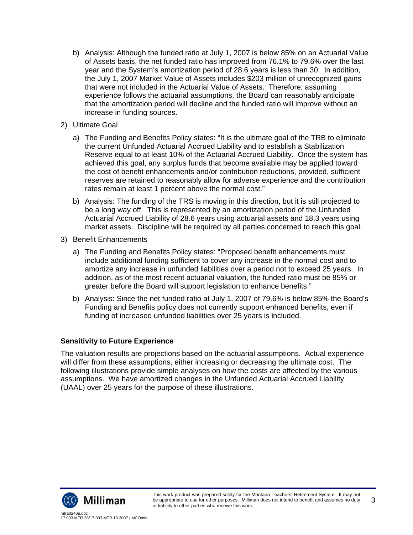- b) Analysis: Although the funded ratio at July 1, 2007 is below 85% on an Actuarial Value of Assets basis, the net funded ratio has improved from 76.1% to 79.6% over the last year and the System's amortization period of 28.6 years is less than 30. In addition, the July 1, 2007 Market Value of Assets includes \$203 million of unrecognized gains that were not included in the Actuarial Value of Assets. Therefore, assuming experience follows the actuarial assumptions, the Board can reasonably anticipate that the amortization period will decline and the funded ratio will improve without an increase in funding sources.
- 2) Ultimate Goal
	- a) The Funding and Benefits Policy states: "It is the ultimate goal of the TRB to eliminate the current Unfunded Actuarial Accrued Liability and to establish a Stabilization Reserve equal to at least 10% of the Actuarial Accrued Liability. Once the system has achieved this goal, any surplus funds that become available may be applied toward the cost of benefit enhancements and/or contribution reductions, provided, sufficient reserves are retained to reasonably allow for adverse experience and the contribution rates remain at least 1 percent above the normal cost."
	- b) Analysis: The funding of the TRS is moving in this direction, but it is still projected to be a long way off. This is represented by an amortization period of the Unfunded Actuarial Accrued Liability of 28.6 years using actuarial assets and 18.3 years using market assets. Discipline will be required by all parties concerned to reach this goal.
- 3) Benefit Enhancements
	- a) The Funding and Benefits Policy states: "Proposed benefit enhancements must include additional funding sufficient to cover any increase in the normal cost and to amortize any increase in unfunded liabilities over a period not to exceed 25 years. In addition, as of the most recent actuarial valuation, the funded ratio must be 85% or greater before the Board will support legislation to enhance benefits."
	- b) Analysis: Since the net funded ratio at July 1, 2007 of 79.6% is below 85% the Board's Funding and Benefits policy does not currently support enhanced benefits, even if funding of increased unfunded liabilities over 25 years is included.

## **Sensitivity to Future Experience**

The valuation results are projections based on the actuarial assumptions. Actual experience will differ from these assumptions, either increasing or decreasing the ultimate cost. The following illustrations provide simple analyses on how the costs are affected by the various assumptions. We have amortized changes in the Unfunded Actuarial Accrued Liability (UAAL) over 25 years for the purpose of these illustrations.

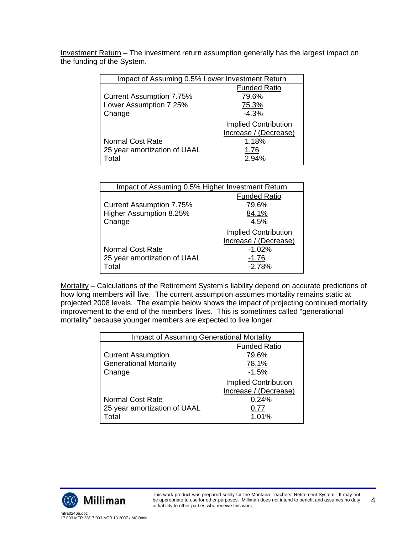Investment Return – The investment return assumption generally has the largest impact on the funding of the System.

| Impact of Assuming 0.5% Lower Investment Return |                             |  |  |  |
|-------------------------------------------------|-----------------------------|--|--|--|
| <b>Funded Ratio</b>                             |                             |  |  |  |
| <b>Current Assumption 7.75%</b>                 | 79.6%                       |  |  |  |
| Lower Assumption 7.25%                          | 75.3%                       |  |  |  |
| Change                                          | $-4.3%$                     |  |  |  |
|                                                 | <b>Implied Contribution</b> |  |  |  |
| Increase / (Decrease)                           |                             |  |  |  |
| <b>Normal Cost Rate</b>                         | 1.18%                       |  |  |  |
| 25 year amortization of UAAL                    | 1.76                        |  |  |  |
| Total                                           | 2.94%                       |  |  |  |

| Impact of Assuming 0.5% Higher Investment Return |                             |  |  |  |
|--------------------------------------------------|-----------------------------|--|--|--|
| <b>Funded Ratio</b>                              |                             |  |  |  |
| <b>Current Assumption 7.75%</b>                  | 79.6%                       |  |  |  |
| Higher Assumption 8.25%                          | 84.1%                       |  |  |  |
| Change                                           | 4.5%                        |  |  |  |
|                                                  | <b>Implied Contribution</b> |  |  |  |
| Increase / (Decrease)                            |                             |  |  |  |
| Normal Cost Rate                                 | $-1.02%$                    |  |  |  |
| 25 year amortization of UAAL                     | $-1.76$                     |  |  |  |
| Total                                            | $-2.78%$                    |  |  |  |

Mortality - Calculations of the Retirement System's liability depend on accurate predictions of how long members will live. The current assumption assumes mortality remains static at projected 2008 levels. The example below shows the impact of projecting continued mortality improvement to the end of the members' lives. This is sometimes called "generational mortality" because younger members are expected to live longer.

| <b>Impact of Assuming Generational Mortality</b> |                             |  |  |  |  |  |
|--------------------------------------------------|-----------------------------|--|--|--|--|--|
| <b>Funded Ratio</b>                              |                             |  |  |  |  |  |
| <b>Current Assumption</b>                        | 79.6%                       |  |  |  |  |  |
| <b>Generational Mortality</b>                    | 78.1%                       |  |  |  |  |  |
| Change                                           | $-1.5%$                     |  |  |  |  |  |
|                                                  | <b>Implied Contribution</b> |  |  |  |  |  |
|                                                  | Increase / (Decrease)       |  |  |  |  |  |
| 0.24%<br><b>Normal Cost Rate</b>                 |                             |  |  |  |  |  |
| 25 year amortization of UAAL                     | 0.77                        |  |  |  |  |  |
| Total                                            | 1.01%                       |  |  |  |  |  |

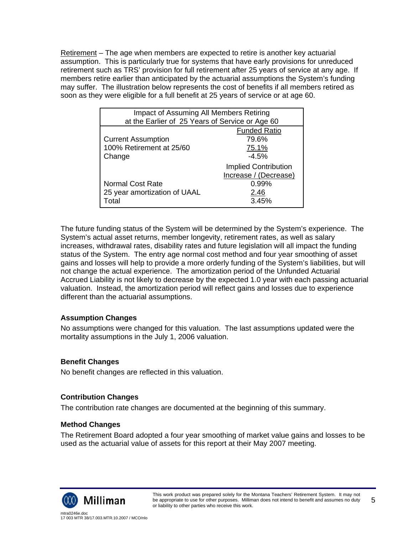Retirement – The age when members are expected to retire is another key actuarial assumption. This is particularly true for systems that have early provisions for unreduced retirement such as TRS' provision for full retirement after 25 years of service at any age. If members retire earlier than anticipated by the actuarial assumptions the System's funding may suffer. The illustration below represents the cost of benefits if all members retired as soon as they were eligible for a full benefit at 25 years of service or at age 60.

| Impact of Assuming All Members Retiring         |                             |  |  |  |  |
|-------------------------------------------------|-----------------------------|--|--|--|--|
| at the Earlier of 25 Years of Service or Age 60 |                             |  |  |  |  |
|                                                 | <b>Funded Ratio</b>         |  |  |  |  |
| <b>Current Assumption</b>                       | 79.6%                       |  |  |  |  |
| 100% Retirement at 25/60                        | 75.1%                       |  |  |  |  |
| Change                                          | $-4.5%$                     |  |  |  |  |
|                                                 | <b>Implied Contribution</b> |  |  |  |  |
|                                                 | Increase / (Decrease)       |  |  |  |  |
| 0.99%<br><b>Normal Cost Rate</b>                |                             |  |  |  |  |
| 25 year amortization of UAAL<br>2.46            |                             |  |  |  |  |
| Total                                           | 3.45%                       |  |  |  |  |

The future funding status of the System will be determined by the System's experience. The System's actual asset returns, member longevity, retirement rates, as well as salary increases, withdrawal rates, disability rates and future legislation will all impact the funding status of the System. The entry age normal cost method and four year smoothing of asset gains and losses will help to provide a more orderly funding of the System's liabilities, but will not change the actual experience. The amortization period of the Unfunded Actuarial Accrued Liability is not likely to decrease by the expected 1.0 year with each passing actuarial valuation. Instead, the amortization period will reflect gains and losses due to experience different than the actuarial assumptions.

## **Assumption Changes**

No assumptions were changed for this valuation. The last assumptions updated were the mortality assumptions in the July 1, 2006 valuation.

## **Benefit Changes**

No benefit changes are reflected in this valuation.

## **Contribution Changes**

The contribution rate changes are documented at the beginning of this summary.

## **Method Changes**

The Retirement Board adopted a four year smoothing of market value gains and losses to be used as the actuarial value of assets for this report at their May 2007 meeting.

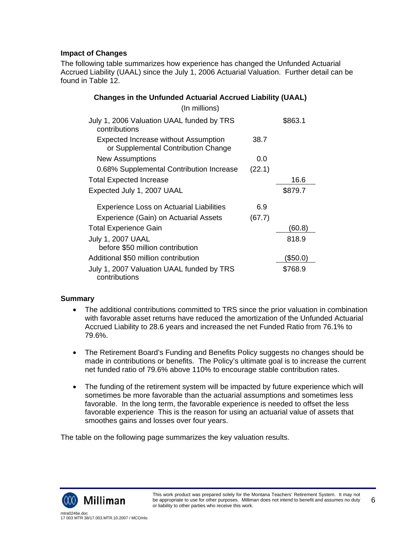## **Impact of Changes**

The following table summarizes how experience has changed the Unfunded Actuarial Accrued Liability (UAAL) since the July 1, 2006 Actuarial Valuation. Further detail can be found in Table 12.

| <b>Changes in the Unfunded Actuarial Accrued Liability (UAAL)</b> |  |  |  |  |  |
|-------------------------------------------------------------------|--|--|--|--|--|
|-------------------------------------------------------------------|--|--|--|--|--|

| (In millions)                                                               |        |         |
|-----------------------------------------------------------------------------|--------|---------|
| July 1, 2006 Valuation UAAL funded by TRS<br>contributions                  |        | \$863.1 |
| Expected Increase without Assumption<br>or Supplemental Contribution Change | 38.7   |         |
| New Assumptions                                                             | 0.0    |         |
| 0.68% Supplemental Contribution Increase                                    | (22.1) |         |
| <b>Total Expected Increase</b>                                              |        | 16.6    |
| Expected July 1, 2007 UAAL                                                  |        | \$879.7 |
| <b>Experience Loss on Actuarial Liabilities</b>                             | 6.9    |         |
| Experience (Gain) on Actuarial Assets                                       | (67.7) |         |
| <b>Total Experience Gain</b>                                                |        | (60.8)  |
| <b>July 1, 2007 UAAL</b><br>before \$50 million contribution                |        | 818.9   |
| Additional \$50 million contribution                                        |        | \$50.0  |
| July 1, 2007 Valuation UAAL funded by TRS<br>contributions                  |        | \$768.9 |

## **Summary**

- The additional contributions committed to TRS since the prior valuation in combination with favorable asset returns have reduced the amortization of the Unfunded Actuarial Accrued Liability to 28.6 years and increased the net Funded Ratio from 76.1% to 79.6%.
- The Retirement Board's Funding and Benefits Policy suggests no changes should be made in contributions or benefits. The Policy's ultimate goal is to increase the current net funded ratio of 79.6% above 110% to encourage stable contribution rates.
- The funding of the retirement system will be impacted by future experience which will sometimes be more favorable than the actuarial assumptions and sometimes less favorable. In the long term, the favorable experience is needed to offset the less favorable experience This is the reason for using an actuarial value of assets that smoothes gains and losses over four years.

The table on the following page summarizes the key valuation results.

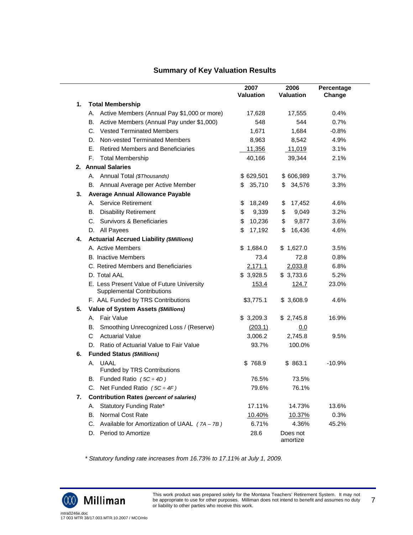## **Summary of Key Valuation Results**

 $\sim$ 

|    |                                                                                 | 2007             | 2006                 | Percentage |
|----|---------------------------------------------------------------------------------|------------------|----------------------|------------|
|    |                                                                                 | <b>Valuation</b> | <b>Valuation</b>     | Change     |
| 1. | <b>Total Membership</b>                                                         |                  |                      |            |
|    | A. Active Members (Annual Pay \$1,000 or more)                                  | 17,628           | 17,555               | 0.4%       |
|    | B. Active Members (Annual Pay under \$1,000)                                    | 548              | 544                  | 0.7%       |
|    | C. Vested Terminated Members                                                    | 1,671            | 1,684                | $-0.8%$    |
|    | Non-vested Terminated Members<br>D.                                             | 8,963            | 8,542                | 4.9%       |
|    | <b>Retired Members and Beneficiaries</b><br>Е.                                  | 11,356           | 11,019               | 3.1%       |
|    | F.<br><b>Total Membership</b>                                                   | 40,166           | 39,344               | 2.1%       |
|    | 2. Annual Salaries                                                              |                  |                      |            |
|    | A. Annual Total (\$Thousands)                                                   | \$629,501        | \$606,989            | 3.7%       |
|    | B. Annual Average per Active Member                                             | 35,710<br>\$.    | \$<br>34,576         | 3.3%       |
| 3. | <b>Average Annual Allowance Payable</b>                                         |                  |                      |            |
|    | A. Service Retirement                                                           | \$<br>18,249     | \$<br>17,452         | 4.6%       |
|    | <b>B.</b> Disability Retirement                                                 | \$<br>9,339      | \$<br>9,049          | 3.2%       |
|    | C. Survivors & Beneficiaries                                                    | \$<br>10,236     | \$<br>9,877          | 3.6%       |
|    | D. All Payees                                                                   | \$<br>17,192     | \$<br>16,436         | 4.6%       |
| 4. | <b>Actuarial Accrued Liability (\$Millions)</b>                                 |                  |                      |            |
|    | A. Active Members                                                               | \$1,684.0        | \$1,627.0            | 3.5%       |
|    | <b>B.</b> Inactive Members                                                      | 73.4             | 72.8                 | 0.8%       |
|    | C. Retired Members and Beneficiaries                                            | 2,171.1          | 2,033.8              | 6.8%       |
|    | D. Total AAL                                                                    | \$3,928.5        | \$3,733.6            | 5.2%       |
|    | E. Less Present Value of Future University<br><b>Supplemental Contributions</b> | 153.4            | 124.7                | 23.0%      |
|    | F. AAL Funded by TRS Contributions                                              | \$3,775.1        | \$3,608.9            | 4.6%       |
| 5. | Value of System Assets (\$Millions)                                             |                  |                      |            |
|    | Fair Value<br>А.                                                                | \$3,209.3        | \$2,745.8            | 16.9%      |
|    | Smoothing Unrecognized Loss / (Reserve)<br>В.                                   | (203.1)          | 0.0                  |            |
|    | <b>Actuarial Value</b><br>C                                                     | 3,006.2          | 2,745.8              | 9.5%       |
|    | D. Ratio of Actuarial Value to Fair Value                                       | 93.7%            | 100.0%               |            |
| 6. | <b>Funded Status (\$Millions)</b>                                               |                  |                      |            |
|    | A. UAAL<br>Funded by TRS Contributions                                          | \$768.9          | \$863.1              | $-10.9%$   |
|    | B. Funded Ratio $(5C \div 4D)$                                                  | 76.5%            | 73.5%                |            |
|    | C. Net Funded Ratio $(5C \div 4F)$                                              | 79.6%            | 76.1%                |            |
| 7. | <b>Contribution Rates (percent of salaries)</b>                                 |                  |                      |            |
|    | A. Statutory Funding Rate*                                                      | 17.11%           | 14.73%               | 13.6%      |
|    | Normal Cost Rate<br>В.                                                          | 10.40%           | 10.37%               | 0.3%       |
|    | C. Available for Amortization of UAAL $(7A - 7B)$                               | 6.71%            | 4.36%                | 45.2%      |
|    | D. Period to Amortize                                                           | 28.6             | Does not<br>amortize |            |

*\* Statutory funding rate increases from 16.73% to 17.11% at July 1, 2009.* 



This work product was prepared solely for the Montana Teachers' Retirement System. It may not be appropriate to use for other purposes. Milliman does not intend to benefit and assumes no duty or liability to other parties who receive this work. 7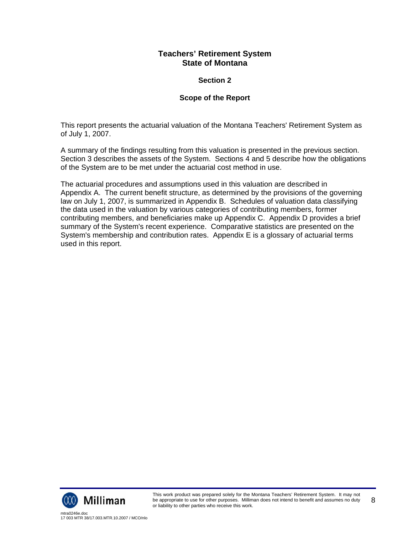## **Section 2**

## **Scope of the Report**

This report presents the actuarial valuation of the Montana Teachers' Retirement System as of July 1, 2007.

A summary of the findings resulting from this valuation is presented in the previous section. Section 3 describes the assets of the System. Sections 4 and 5 describe how the obligations of the System are to be met under the actuarial cost method in use.

The actuarial procedures and assumptions used in this valuation are described in Appendix A. The current benefit structure, as determined by the provisions of the governing law on July 1, 2007, is summarized in Appendix B. Schedules of valuation data classifying the data used in the valuation by various categories of contributing members, former contributing members, and beneficiaries make up Appendix C. Appendix D provides a brief summary of the System's recent experience. Comparative statistics are presented on the System's membership and contribution rates. Appendix E is a glossary of actuarial terms used in this report.

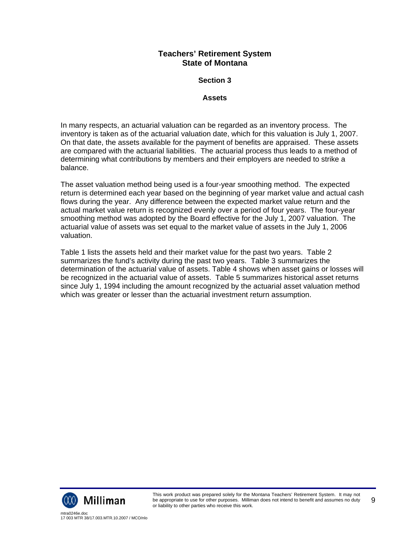## **Section 3**

#### **Assets**

In many respects, an actuarial valuation can be regarded as an inventory process. The inventory is taken as of the actuarial valuation date, which for this valuation is July 1, 2007. On that date, the assets available for the payment of benefits are appraised. These assets are compared with the actuarial liabilities. The actuarial process thus leads to a method of determining what contributions by members and their employers are needed to strike a balance.

The asset valuation method being used is a four-year smoothing method. The expected return is determined each year based on the beginning of year market value and actual cash flows during the year. Any difference between the expected market value return and the actual market value return is recognized evenly over a period of four years. The four-year smoothing method was adopted by the Board effective for the July 1, 2007 valuation. The actuarial value of assets was set equal to the market value of assets in the July 1, 2006 valuation.

Table 1 lists the assets held and their market value for the past two years. Table 2 summarizes the fund's activity during the past two years. Table 3 summarizes the determination of the actuarial value of assets. Table 4 shows when asset gains or losses will be recognized in the actuarial value of assets. Table 5 summarizes historical asset returns since July 1, 1994 including the amount recognized by the actuarial asset valuation method which was greater or lesser than the actuarial investment return assumption.

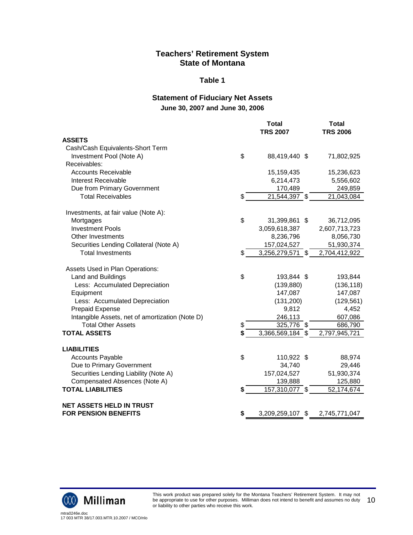## **Table 1**

# **Statement of Fiduciary Net Assets June 30, 2007 and June 30, 2006**

|                                                 | <b>Total</b><br><b>TRS 2007</b>    | <b>Total</b><br><b>TRS 2006</b> |
|-------------------------------------------------|------------------------------------|---------------------------------|
| <b>ASSETS</b>                                   |                                    |                                 |
| Cash/Cash Equivalents-Short Term                |                                    |                                 |
| Investment Pool (Note A)                        | \$<br>88,419,440 \$                | 71,802,925                      |
| Receivables:                                    |                                    |                                 |
| <b>Accounts Receivable</b>                      | 15,159,435                         | 15,236,623                      |
| <b>Interest Receivable</b>                      | 6,214,473                          | 5,556,602                       |
| Due from Primary Government                     | 170,489                            | 249,859                         |
| <b>Total Receivables</b>                        | \$<br>$\overline{21}, 544, 397$ \$ | 21,043,084                      |
| Investments, at fair value (Note A):            |                                    |                                 |
| Mortgages                                       | \$<br>31,399,861 \$                | 36,712,095                      |
| <b>Investment Pools</b>                         | 3,059,618,387                      | 2,607,713,723                   |
| <b>Other Investments</b>                        | 8,236,796                          | 8,056,730                       |
| Securities Lending Collateral (Note A)          | 157,024,527                        | 51,930,374                      |
| <b>Total Investments</b>                        | \$<br>3,256,279,571 \$             | 2,704,412,922                   |
| Assets Used in Plan Operations:                 |                                    |                                 |
| Land and Buildings                              | \$<br>193,844 \$                   | 193,844                         |
| Less: Accumulated Depreciation                  | (139, 880)                         | (136, 118)                      |
| Equipment                                       | 147,087                            | 147,087                         |
| Less: Accumulated Depreciation                  | (131, 200)                         | (129, 561)                      |
| <b>Prepaid Expense</b>                          | 9,812                              | 4,452                           |
| Intangible Assets, net of amortization (Note D) | 246,113                            | 607,086                         |
| <b>Total Other Assets</b>                       | \$<br>325,776 \$                   | 686,790                         |
| <b>TOTAL ASSETS</b>                             | \$<br>3,366,569,184 \$             | 2,797,945,721                   |
| <b>LIABILITIES</b>                              |                                    |                                 |
| <b>Accounts Payable</b>                         | \$<br>110,922 \$                   | 88,974                          |
| Due to Primary Government                       | 34,740                             | 29,446                          |
| Securities Lending Liability (Note A)           | 157,024,527                        | 51,930,374                      |
| Compensated Absences (Note A)                   | 139,888                            | 125,880                         |
| <b>TOTAL LIABILITIES</b>                        | \$<br>157,310,077 \$               | 52,174,674                      |
| <b>NET ASSETS HELD IN TRUST</b>                 |                                    |                                 |
| <b>FOR PENSION BENEFITS</b>                     | \$<br>3,209,259,107 \$             | 2,745,771,047                   |



This work product was prepared solely for the Montana Teachers' Retirement System. It may not be appropriate to use for other purposes. Milliman does not intend to benefit and assumes no duty or liability to other parties who receive this work. 10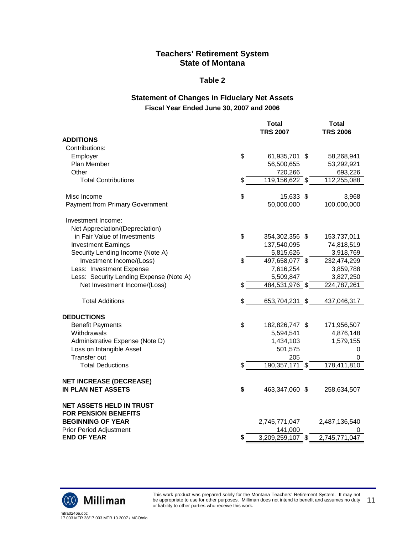### **Table 2**

# **Statement of Changes in Fiduciary Net Assets Fiscal Year Ended June 30, 2007 and 2006**

|                                         | <b>Total</b><br><b>TRS 2007</b> | <b>Total</b><br><b>TRS 2006</b> |
|-----------------------------------------|---------------------------------|---------------------------------|
| <b>ADDITIONS</b>                        |                                 |                                 |
| Contributions:                          |                                 |                                 |
| Employer                                | \$<br>61,935,701 \$             | 58,268,941                      |
| Plan Member                             | 56,500,655                      | 53,292,921                      |
| Other                                   | 720,266                         | 693,226                         |
| <b>Total Contributions</b>              | \$<br>119,156,622 \$            | 112,255,088                     |
| Misc Income                             | \$<br>15,633 \$                 | 3,968                           |
| <b>Payment from Primary Government</b>  | 50,000,000                      | 100,000,000                     |
| Investment Income:                      |                                 |                                 |
| Net Appreciation/(Depreciation)         |                                 |                                 |
| in Fair Value of Investments            | \$<br>354,302,356 \$            | 153,737,011                     |
| <b>Investment Earnings</b>              | 137,540,095                     | 74,818,519                      |
| Security Lending Income (Note A)        | 5,815,626                       | 3,918,769                       |
| Investment Income/(Loss)                | \$<br>497,658,077 \$            | 232,474,299                     |
| Less: Investment Expense                | 7,616,254                       | 3,859,788                       |
| Less: Security Lending Expense (Note A) | 5,509,847                       | 3,827,250                       |
| Net Investment Income/(Loss)            | \$<br>484,531,976 \$            | 224,787,261                     |
| <b>Total Additions</b>                  | \$<br>653,704,231 \$            | 437,046,317                     |
| <b>DEDUCTIONS</b>                       |                                 |                                 |
| <b>Benefit Payments</b>                 | \$<br>182,826,747 \$            | 171,956,507                     |
| Withdrawals                             | 5,594,541                       | 4,876,148                       |
| Administrative Expense (Note D)         | 1,434,103                       | 1,579,155                       |
| Loss on Intangible Asset                | 501,575                         | 0                               |
| <b>Transfer out</b>                     | 205                             | 0                               |
| <b>Total Deductions</b>                 | \$<br>190, 357, 171 \$          | 178,411,810                     |
| <b>NET INCREASE (DECREASE)</b>          |                                 |                                 |
| <b>IN PLAN NET ASSETS</b>               | \$<br>463,347,060 \$            | 258,634,507                     |
| <b>NET ASSETS HELD IN TRUST</b>         |                                 |                                 |
| <b>FOR PENSION BENEFITS</b>             |                                 |                                 |
| <b>BEGINNING OF YEAR</b>                | 2,745,771,047                   | 2,487,136,540                   |
| <b>Prior Period Adjustment</b>          | 141,000                         | Ω                               |
| <b>END OF YEAR</b>                      | \$<br>$3,209,259,107$ \$        | 2,745,771,047                   |



This work product was prepared solely for the Montana Teachers' Retirement System. It may not be appropriate to use for other purposes. Milliman does not intend to benefit and assumes no duty or liability to other parties who receive this work. 11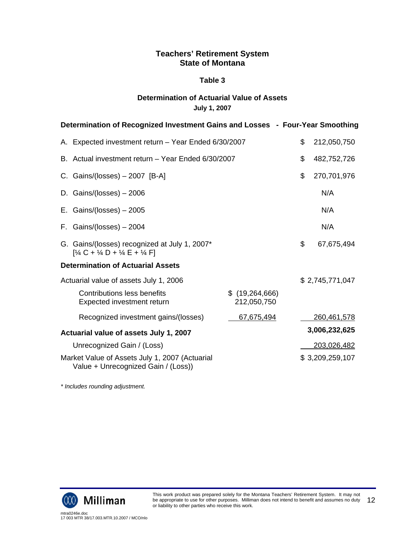## **Table 3**

## **Determination of Actuarial Value of Assets July 1, 2007**

|                                                         | Determination of Recognized Investment Gains and Losses - Four-Year Smoothing                            |                                 |             |                 |  |  |  |
|---------------------------------------------------------|----------------------------------------------------------------------------------------------------------|---------------------------------|-------------|-----------------|--|--|--|
|                                                         | A. Expected investment return - Year Ended 6/30/2007                                                     | \$                              | 212,050,750 |                 |  |  |  |
|                                                         | B. Actual investment return - Year Ended 6/30/2007                                                       |                                 | \$          | 482,752,726     |  |  |  |
|                                                         | C. Gains/(losses) - 2007 [B-A]                                                                           |                                 | \$          | 270,701,976     |  |  |  |
|                                                         | D. Gains/(losses) $-2006$                                                                                |                                 |             | N/A             |  |  |  |
|                                                         | E. Gains/(losses) $-2005$                                                                                |                                 |             | N/A             |  |  |  |
|                                                         | F. Gains/(losses) $-2004$                                                                                |                                 |             | N/A             |  |  |  |
|                                                         | G. Gains/(losses) recognized at July 1, 2007*<br>$[$ '/4 C + '/4 D + '/4 E + '/4 F]                      |                                 | \$          | 67,675,494      |  |  |  |
|                                                         | <b>Determination of Actuarial Assets</b>                                                                 |                                 |             |                 |  |  |  |
|                                                         | Actuarial value of assets July 1, 2006                                                                   |                                 |             | \$2,745,771,047 |  |  |  |
|                                                         | <b>Contributions less benefits</b><br>Expected investment return                                         | \$(19, 264, 666)<br>212,050,750 |             |                 |  |  |  |
|                                                         | Recognized investment gains/(losses)                                                                     | 67,675,494                      |             | 260,461,578     |  |  |  |
| 3,006,232,625<br>Actuarial value of assets July 1, 2007 |                                                                                                          |                                 |             |                 |  |  |  |
|                                                         | Unrecognized Gain / (Loss)                                                                               |                                 | 203,026,482 |                 |  |  |  |
|                                                         | Market Value of Assets July 1, 2007 (Actuarial<br>\$3,209,259,107<br>Value + Unrecognized Gain / (Loss)) |                                 |             |                 |  |  |  |

*\* Includes rounding adjustment.*

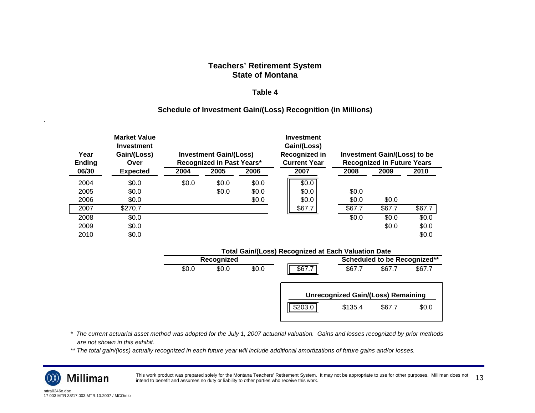#### **Table 4**

# **Schedule of Investment Gain/(Loss) Recognition (in Millions)**

| Year<br><b>Ending</b> | <b>Market Value</b><br><b>Investment</b><br>Gain/(Loss)<br>Over |       | <b>Investment</b><br>Gain/(Loss)<br>Recognized in<br><b>Investment Gain/(Loss)</b><br>Recognized in Past Years*<br><b>Current Year</b> |       |         |        | <b>Investment Gain/(Loss) to be</b><br><b>Recognized in Future Years</b> |        |  |
|-----------------------|-----------------------------------------------------------------|-------|----------------------------------------------------------------------------------------------------------------------------------------|-------|---------|--------|--------------------------------------------------------------------------|--------|--|
| 06/30                 | <b>Expected</b>                                                 | 2004  | 2005                                                                                                                                   | 2006  | 2007    | 2008   | 2009                                                                     | 2010   |  |
| 2004                  | \$0.0                                                           | \$0.0 | \$0.0                                                                                                                                  | \$0.0 | \$0.0\$ |        |                                                                          |        |  |
| 2005                  | \$0.0                                                           |       | \$0.0                                                                                                                                  | \$0.0 | \$0.0   | \$0.0  |                                                                          |        |  |
| 2006                  | \$0.0                                                           |       |                                                                                                                                        | \$0.0 | \$0.0   | \$0.0  | \$0.0                                                                    |        |  |
| 2007                  | \$270.7                                                         |       |                                                                                                                                        |       | \$67.7  | \$67.7 | \$67.7                                                                   | \$67.7 |  |
| 2008                  | \$0.0                                                           |       |                                                                                                                                        |       |         | \$0.0  | \$0.0                                                                    | \$0.0  |  |
| 2009                  | \$0.0                                                           |       |                                                                                                                                        |       |         |        | \$0.0                                                                    | \$0.0  |  |
| 2010                  | \$0.0                                                           |       |                                                                                                                                        |       |         |        |                                                                          | \$0.0  |  |

#### **Total Gain/(Loss) Recognized at Each Valuation Date**

| Recognized |       |       |         |                                                      | Scheduled to be Recognized** |        |
|------------|-------|-------|---------|------------------------------------------------------|------------------------------|--------|
| \$0.0      | \$0.0 | \$0.0 | \$67    | \$67.7                                               | \$67.7                       | \$67.7 |
|            |       |       | \$203.0 | <b>Unrecognized Gain/(Loss) Remaining</b><br>\$135.4 | \$67.7                       | \$0.0  |
|            |       |       |         |                                                      |                              |        |

- *\* The current actuarial asset method was adopted for the July 1, 2007 actuarial valuation. Gains and losses recognized by prior methods are not shown in this exhibit.*
- *\*\* The total gain/(loss) actually recognized in each future year will include additional amortizations of future gains and/or losses.*



This work product was prepared solely for the Montana Teachers' Retirement System. It may not be appropriate to use for other purposes. Milliman does not Inis work product was prepared solely for the Montana Teachers' Retirement System. It may not be appropriate to use for other purposes. Milliman does not 13<br>intend to benefit and assumes no duty or liability to other parti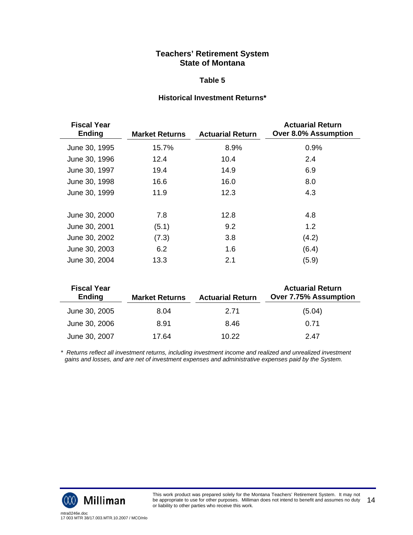#### **Table 5**

### **Historical Investment Returns\***

| <b>Fiscal Year</b><br>Ending | <b>Market Returns</b> | <b>Actuarial Return</b> | <b>Actuarial Return</b><br><b>Over 8.0% Assumption</b> |
|------------------------------|-----------------------|-------------------------|--------------------------------------------------------|
| June 30, 1995                | 15.7%                 | 8.9%                    | 0.9%                                                   |
| June 30, 1996                | 12.4                  | 10.4                    | 2.4                                                    |
| June 30, 1997                | 19.4                  | 14.9                    | 6.9                                                    |
| June 30, 1998                | 16.6                  | 16.0                    | 8.0                                                    |
| June 30, 1999                | 11.9                  | 12.3                    | 4.3                                                    |
| June 30, 2000                | 7.8                   | 12.8                    | 4.8                                                    |
| June 30, 2001                | (5.1)                 | 9.2                     | 1.2                                                    |
| June 30, 2002                | (7.3)                 | 3.8                     | (4.2)                                                  |
| June 30, 2003                | 6.2                   | 1.6                     | (6.4)                                                  |
| June 30, 2004                | 13.3                  | 2.1                     | (5.9)                                                  |

| <b>Fiscal Year</b><br><b>Ending</b> | <b>Market Returns</b> | <b>Actuarial Return</b> | <b>Actuarial Return</b><br>Over 7.75% Assumption |
|-------------------------------------|-----------------------|-------------------------|--------------------------------------------------|
| June 30, 2005                       | 8.04                  | 2.71                    | (5.04)                                           |
| June 30, 2006                       | 8.91                  | 8.46                    | 0.71                                             |
| June 30, 2007                       | 17.64                 | 10.22                   | 2.47                                             |

*\* Returns reflect all investment returns, including investment income and realized and unrealized investment gains and losses, and are net of investment expenses and administrative expenses paid by the System.* 

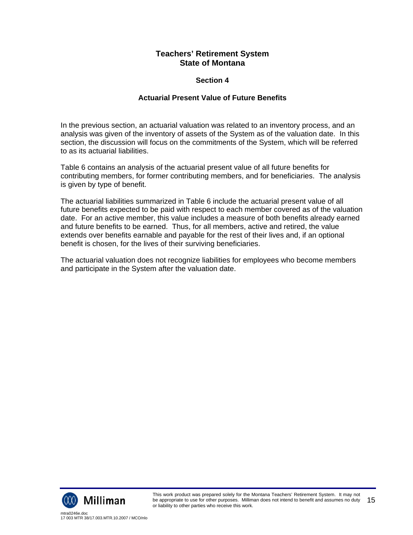## **Section 4**

## **Actuarial Present Value of Future Benefits**

In the previous section, an actuarial valuation was related to an inventory process, and an analysis was given of the inventory of assets of the System as of the valuation date. In this section, the discussion will focus on the commitments of the System, which will be referred to as its actuarial liabilities.

Table 6 contains an analysis of the actuarial present value of all future benefits for contributing members, for former contributing members, and for beneficiaries. The analysis is given by type of benefit.

The actuarial liabilities summarized in Table 6 include the actuarial present value of all future benefits expected to be paid with respect to each member covered as of the valuation date. For an active member, this value includes a measure of both benefits already earned and future benefits to be earned. Thus, for all members, active and retired, the value extends over benefits earnable and payable for the rest of their lives and, if an optional benefit is chosen, for the lives of their surviving beneficiaries.

The actuarial valuation does not recognize liabilities for employees who become members and participate in the System after the valuation date.

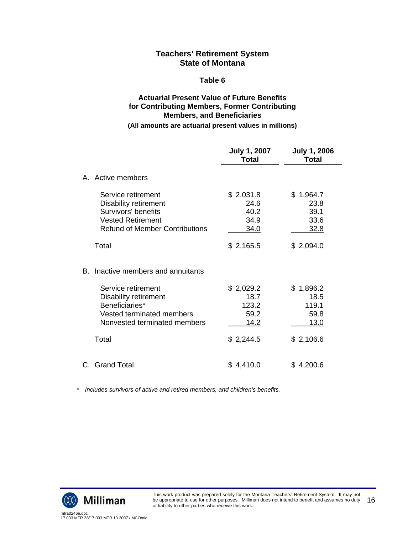#### **Table 6**

# **Actuarial Present Value of Future Benefits for Contributing Members, Former Contributing Members, and Beneficiaries**

#### **(All amounts are actuarial present values in millions)**

|    |                                                                                                                                         | <b>July 1, 2007</b><br>Total               | <b>July 1, 2006</b><br>Total                      |
|----|-----------------------------------------------------------------------------------------------------------------------------------------|--------------------------------------------|---------------------------------------------------|
|    | A. Active members                                                                                                                       |                                            |                                                   |
|    | Service retirement<br>Disability retirement<br>Survivors' benefits<br><b>Vested Retirement</b><br><b>Refund of Member Contributions</b> | \$2,031.8<br>24.6<br>40.2<br>34.9<br>34.0  | \$1,964.7<br>23.8<br>39.1<br>33.6<br>32.8         |
|    | Total                                                                                                                                   | \$2,165.5                                  | \$2,094.0                                         |
| B. | Inactive members and annuitants                                                                                                         |                                            |                                                   |
|    | Service retirement<br>Disability retirement<br>Beneficiaries*<br>Vested terminated members<br>Nonvested terminated members              | \$2,029.2<br>18.7<br>123.2<br>59.2<br>14.2 | \$1,896.2<br>18.5<br>119.1<br>59.8<br><u>13.0</u> |
|    | Total                                                                                                                                   | \$2,244.5                                  | \$2,106.6                                         |
|    | C. Grand Total                                                                                                                          | \$4,410.0                                  | \$4,200.6                                         |

 *\* Includes survivors of active and retired members, and children's benefits.* 

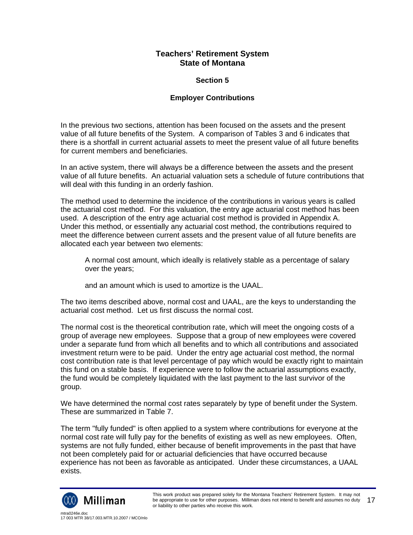## **Section 5**

## **Employer Contributions**

In the previous two sections, attention has been focused on the assets and the present value of all future benefits of the System. A comparison of Tables 3 and 6 indicates that there is a shortfall in current actuarial assets to meet the present value of all future benefits for current members and beneficiaries.

In an active system, there will always be a difference between the assets and the present value of all future benefits. An actuarial valuation sets a schedule of future contributions that will deal with this funding in an orderly fashion.

The method used to determine the incidence of the contributions in various years is called the actuarial cost method. For this valuation, the entry age actuarial cost method has been used. A description of the entry age actuarial cost method is provided in Appendix A. Under this method, or essentially any actuarial cost method, the contributions required to meet the difference between current assets and the present value of all future benefits are allocated each year between two elements:

A normal cost amount, which ideally is relatively stable as a percentage of salary over the years;

and an amount which is used to amortize is the UAAL.

The two items described above, normal cost and UAAL, are the keys to understanding the actuarial cost method. Let us first discuss the normal cost.

The normal cost is the theoretical contribution rate, which will meet the ongoing costs of a group of average new employees. Suppose that a group of new employees were covered under a separate fund from which all benefits and to which all contributions and associated investment return were to be paid. Under the entry age actuarial cost method, the normal cost contribution rate is that level percentage of pay which would be exactly right to maintain this fund on a stable basis. If experience were to follow the actuarial assumptions exactly, the fund would be completely liquidated with the last payment to the last survivor of the group.

We have determined the normal cost rates separately by type of benefit under the System. These are summarized in Table 7.

The term "fully funded" is often applied to a system where contributions for everyone at the normal cost rate will fully pay for the benefits of existing as well as new employees. Often, systems are not fully funded, either because of benefit improvements in the past that have not been completely paid for or actuarial deficiencies that have occurred because experience has not been as favorable as anticipated. Under these circumstances, a UAAL exists.

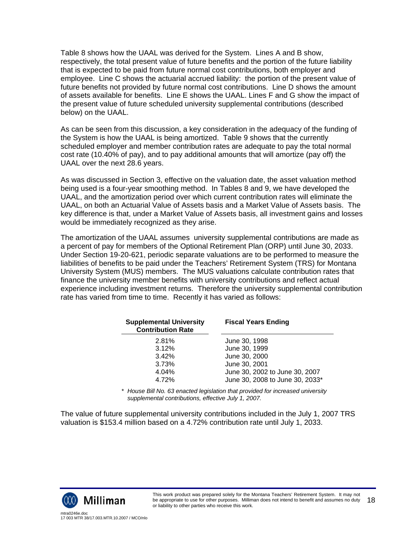Table 8 shows how the UAAL was derived for the System. Lines A and B show, respectively, the total present value of future benefits and the portion of the future liability that is expected to be paid from future normal cost contributions, both employer and employee. Line C shows the actuarial accrued liability: the portion of the present value of future benefits not provided by future normal cost contributions. Line D shows the amount of assets available for benefits. Line E shows the UAAL. Lines F and G show the impact of the present value of future scheduled university supplemental contributions (described below) on the UAAL.

As can be seen from this discussion, a key consideration in the adequacy of the funding of the System is how the UAAL is being amortized. Table 9 shows that the currently scheduled employer and member contribution rates are adequate to pay the total normal cost rate (10.40% of pay), and to pay additional amounts that will amortize (pay off) the UAAL over the next 28.6 years.

As was discussed in Section 3, effective on the valuation date, the asset valuation method being used is a four-year smoothing method. In Tables 8 and 9, we have developed the UAAL, and the amortization period over which current contribution rates will eliminate the UAAL, on both an Actuarial Value of Assets basis and a Market Value of Assets basis. The key difference is that, under a Market Value of Assets basis, all investment gains and losses would be immediately recognized as they arise.

The amortization of the UAAL assumes university supplemental contributions are made as a percent of pay for members of the Optional Retirement Plan (ORP) until June 30, 2033. Under Section 19-20-621, periodic separate valuations are to be performed to measure the liabilities of benefits to be paid under the Teachers' Retirement System (TRS) for Montana University System (MUS) members. The MUS valuations calculate contribution rates that finance the university member benefits with university contributions and reflect actual experience including investment returns. Therefore the university supplemental contribution rate has varied from time to time. Recently it has varied as follows:

| <b>Supplemental University</b><br><b>Contribution Rate</b> | <b>Fiscal Years Ending</b>      |  |  |
|------------------------------------------------------------|---------------------------------|--|--|
| 2.81%                                                      | June 30, 1998                   |  |  |
| 3.12%                                                      | June 30, 1999                   |  |  |
| 3.42%                                                      | June 30, 2000                   |  |  |
| 3.73%                                                      | June 30, 2001                   |  |  |
| 4.04%                                                      | June 30, 2002 to June 30, 2007  |  |  |
| 4.72%                                                      | June 30, 2008 to June 30, 2033* |  |  |

*\* House Bill No. 63 enacted legislation that provided for increased university supplemental contributions, effective July 1, 2007.* 

The value of future supplemental university contributions included in the July 1, 2007 TRS valuation is \$153.4 million based on a 4.72% contribution rate until July 1, 2033.

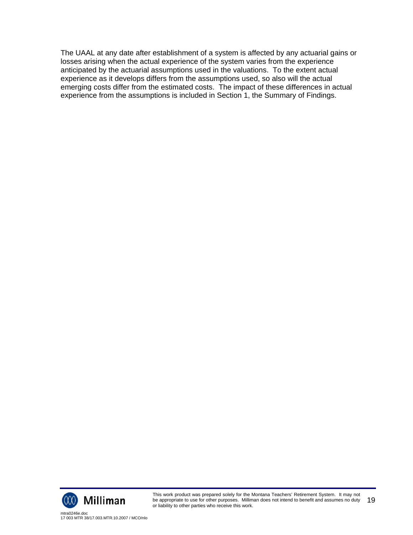The UAAL at any date after establishment of a system is affected by any actuarial gains or losses arising when the actual experience of the system varies from the experience anticipated by the actuarial assumptions used in the valuations. To the extent actual experience as it develops differs from the assumptions used, so also will the actual emerging costs differ from the estimated costs. The impact of these differences in actual experience from the assumptions is included in Section 1, the Summary of Findings.

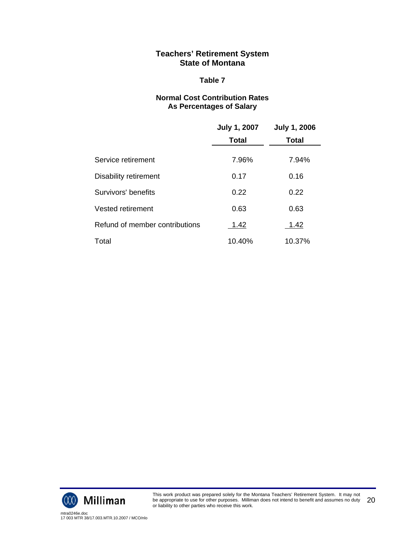### **Table 7**

## **Normal Cost Contribution Rates As Percentages of Salary**

|                                | <b>July 1, 2007</b> | <b>July 1, 2006</b> |
|--------------------------------|---------------------|---------------------|
|                                | <b>Total</b>        | <b>Total</b>        |
| Service retirement             | 7.96%               | 7.94%               |
| Disability retirement          | 0.17                | 0.16                |
| Survivors' benefits            | 0.22                | 0.22                |
| Vested retirement              | 0.63                | 0.63                |
| Refund of member contributions | <u>1.42</u>         | 1.42                |
| Total                          | 10.40%              | 10.37%              |

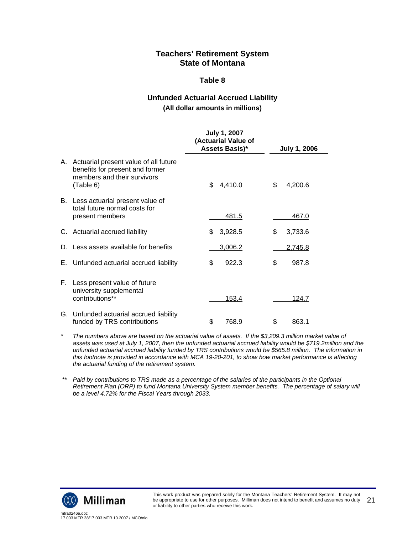#### **Table 8**

## **Unfunded Actuarial Accrued Liability**

**(All dollar amounts in millions)** 

|    |                                                                                                                         | <b>July 1, 2007</b><br>(Actuarial Value of<br>Assets Basis)* | <b>July 1, 2006</b> |  |
|----|-------------------------------------------------------------------------------------------------------------------------|--------------------------------------------------------------|---------------------|--|
|    | A. Actuarial present value of all future<br>benefits for present and former<br>members and their survivors<br>(Table 6) | \$<br>4,410.0                                                | \$<br>4,200.6       |  |
|    | B. Less actuarial present value of<br>total future normal costs for<br>present members                                  | 481.5                                                        | 467.0               |  |
|    | C. Actuarial accrued liability                                                                                          | \$<br>3,928.5                                                | \$<br>3,733.6       |  |
|    | D. Less assets available for benefits                                                                                   | 3,006.2                                                      | 2,745.8             |  |
|    | E. Unfunded actuarial accrued liability                                                                                 | \$<br>922.3                                                  | \$<br>987.8         |  |
| F. | Less present value of future<br>university supplemental<br>contributions**                                              | 153.4                                                        | 124.7               |  |
|    | G. Unfunded actuarial accrued liability<br>funded by TRS contributions                                                  | \$<br>768.9                                                  | \$<br>863.1         |  |

*\* The numbers above are based on the actuarial value of assets. If the \$3,209.3 million market value of assets was used at July 1, 2007, then the unfunded actuarial accrued liability would be \$719.2million and the unfunded actuarial accrued liability funded by TRS contributions would be \$565.8 million. The information in this footnote is provided in accordance with MCA 19-20-201, to show how market performance is affecting the actuarial funding of the retirement system.* 

 *\*\* Paid by contributions to TRS made as a percentage of the salaries of the participants in the Optional Retirement Plan (ORP) to fund Montana University System member benefits. The percentage of salary will be a level 4.72% for the Fiscal Years through 2033.* 

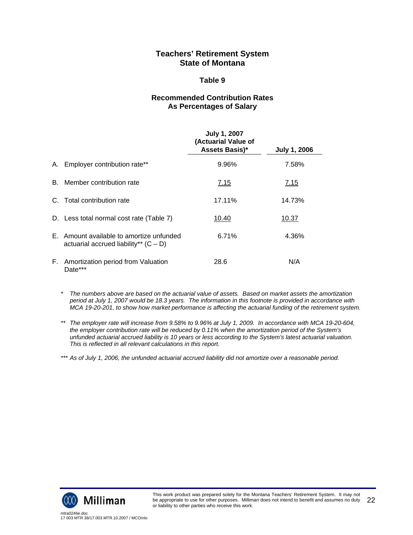#### **Table 9**

### **Recommended Contribution Rates As Percentages of Salary**

|    |                                                                                     | <b>July 1, 2007</b><br>(Actuarial Value of<br>Assets Basis)* | <b>July 1, 2006</b> |
|----|-------------------------------------------------------------------------------------|--------------------------------------------------------------|---------------------|
|    | A. Employer contribution rate**                                                     | 9.96%                                                        | 7.58%               |
|    | B. Member contribution rate                                                         | <u>7.15</u>                                                  | <u>7.15</u>         |
|    | C. Total contribution rate                                                          | 17.11%                                                       | 14.73%              |
|    | D. Less total normal cost rate (Table 7)                                            | 10.40                                                        | 10.37               |
|    | E. Amount available to amortize unfunded<br>actuarial accrued liability** $(C - D)$ | 6.71%                                                        | 4.36%               |
| E. | Amortization period from Valuation<br>Date***                                       | 28.6                                                         | N/A                 |

- *\* The numbers above are based on the actuarial value of assets. Based on market assets the amortization period at July 1, 2007 would be 18.3 years. The information in this footnote is provided in accordance with MCA 19-20-201, to show how market performance is affecting the actuarial funding of the retirement system.*
- *\*\* The employer rate will increase from 9.58% to 9.96% at July 1, 2009. In accordance with MCA 19-20-604, the employer contribution rate will be reduced by 0.11% when the amortization period of the System's unfunded actuarial accrued liability is 10 years or less according to the System's latest actuarial valuation. This is reflected in all relevant calculations in this report.*

\*\*\* As of July 1, 2006, the unfunded actuarial accrued liability did not amortize over a reasonable period.

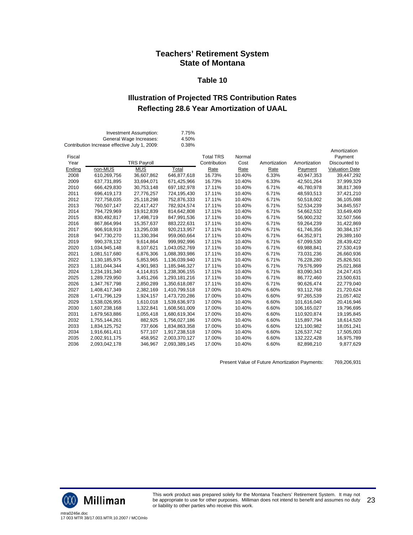#### **Table 10**

# **Illustration of Projected TRS Contribution Rates Reflecting 28.6 Year Amortization of UAAL**

|        |                                               | Investment Assumption:  | 7.75%         |                  |        |              |              |                       |
|--------|-----------------------------------------------|-------------------------|---------------|------------------|--------|--------------|--------------|-----------------------|
|        |                                               | General Wage Increases: | 4.50%         |                  |        |              |              |                       |
|        | Contribution Increase effective July 1, 2009: |                         | 0.38%         |                  |        |              |              |                       |
|        |                                               |                         |               |                  |        |              |              | Amortization          |
| Fiscal |                                               |                         |               | <b>Total TRS</b> | Normal |              |              | Payment               |
| Year   |                                               | <b>TRS Payroll</b>      |               | Contribution     | Cost   | Amortization | Amortization | Discounted to         |
| Ending | non-MUS                                       | <b>MUS</b>              | Total         | Rate             | Rate   | Rate         | Payment      | <b>Valuation Date</b> |
| 2008   | 610,269,756                                   | 36,607,862              | 646,877,618   | 16.73%           | 10.40% | 6.33%        | 40,947,353   | 39,447,292            |
| 2009   | 637,731,895                                   | 33,694,071              | 671,425,966   | 16.73%           | 10.40% | 6.33%        | 42,501,264   | 37,999,329            |
| 2010   | 666,429,830                                   | 30,753,148              | 697,182,978   | 17.11%           | 10.40% | 6.71%        | 46,780,978   | 38,817,369            |
| 2011   | 696,419,173                                   | 27,776,257              | 724,195,430   | 17.11%           | 10.40% | 6.71%        | 48,593,513   | 37,421,210            |
| 2012   | 727,758,035                                   | 25,118,298              | 752,876,333   | 17.11%           | 10.40% | 6.71%        | 50,518,002   | 36,105,088            |
| 2013   | 760,507,147                                   | 22,417,427              | 782,924,574   | 17.11%           | 10.40% | 6.71%        | 52,534,239   | 34,845,557            |
| 2014   | 794,729,969                                   | 19,912,839              | 814,642,808   | 17.11%           | 10.40% | 6.71%        | 54,662,532   | 33,649,409            |
| 2015   | 830,492,817                                   | 17,498,719              | 847,991,536   | 17.11%           | 10.40% | 6.71%        | 56,900,232   | 32,507,566            |
| 2016   | 867,864,994                                   | 15,357,637              | 883,222,631   | 17.11%           | 10.40% | 6.71%        | 59,264,239   | 31,422,869            |
| 2017   | 906,918,919                                   | 13,295,038              | 920,213,957   | 17.11%           | 10.40% | 6.71%        | 61,746,356   | 30,384,157            |
| 2018   | 947,730,270                                   | 11,330,394              | 959,060,664   | 17.11%           | 10.40% | 6.71%        | 64,352,971   | 29,389,160            |
| 2019   | 990,378,132                                   | 9,614,864               | 999,992,996   | 17.11%           | 10.40% | 6.71%        | 67,099,530   | 28,439,422            |
| 2020   | 1,034,945,148                                 | 8,107,621               | 1,043,052,769 | 17.11%           | 10.40% | 6.71%        | 69,988,841   | 27,530,419            |
| 2021   | 1,081,517,680                                 | 6,876,306               | 1,088,393,986 | 17.11%           | 10.40% | 6.71%        | 73,031,236   | 26,660,936            |
| 2022   | 1,130,185,975                                 | 5,853,965               | 1,136,039,940 | 17.11%           | 10.40% | 6.71%        | 76,228,280   | 25,826,501            |
| 2023   | 1,181,044,344                                 | 4,901,983               | 1,185,946,327 | 17.11%           | 10.40% | 6.71%        | 79,576,999   | 25,021,868            |
| 2024   | 1,234,191,340                                 | 4,114,815               | 1,238,306,155 | 17.11%           | 10.40% | 6.71%        | 83,090,343   | 24,247,415            |
| 2025   | 1,289,729,950                                 | 3,451,266               | 1,293,181,216 | 17.11%           | 10.40% | 6.71%        | 86,772,460   | 23,500,631            |
| 2026   | 1,347,767,798                                 | 2,850,289               | 1,350,618,087 | 17.11%           | 10.40% | 6.71%        | 90,626,474   | 22,779,040            |
| 2027   | 1,408,417,349                                 | 2,382,169               | 1,410,799,518 | 17.00%           | 10.40% | 6.60%        | 93,112,768   | 21,720,624            |
| 2028   | 1,471,796,129                                 | 1,924,157               | 1,473,720,286 | 17.00%           | 10.40% | 6.60%        | 97,265,539   | 21,057,402            |
| 2029   | 1,538,026,955                                 | 1,610,018               | 1,539,636,973 | 17.00%           | 10.40% | 6.60%        | 101,616,040  | 20,416,946            |
| 2030   | 1,607,238,168                                 | 1,322,841               | 1,608,561,009 | 17.00%           | 10.40% | 6.60%        | 106,165,027  | 19,796,695            |
| 2031   | 1,679,563,886                                 | 1,055,418               | 1,680,619,304 | 17.00%           | 10.40% | 6.60%        | 110,920,874  | 19,195,845            |
| 2032   | 1,755,144,261                                 | 882,925                 | 1,756,027,186 | 17.00%           | 10.40% | 6.60%        | 115,897,794  | 18,614,520            |
| 2033   | 1,834,125,752                                 | 737,606                 | 1,834,863,358 | 17.00%           | 10.40% | 6.60%        | 121,100,982  | 18,051,241            |
| 2034   | 1,916,661,411                                 | 577,107                 | 1,917,238,518 | 17.00%           | 10.40% | 6.60%        | 126,537,742  | 17,505,003            |
| 2035   | 2,002,911,175                                 | 458,952                 | 2,003,370,127 | 17.00%           | 10.40% | 6.60%        | 132,222,428  | 16,975,789            |
| 2036   | 2,093,042,178                                 | 346,967                 | 2,093,389,145 | 17.00%           | 10.40% | 6.60%        | 82,898,210   | 9,877,629             |
|        |                                               |                         |               |                  |        |              |              |                       |

Present Value of Future Amortization Payments: 769,206,931



This work product was prepared solely for the Montana Teachers' Retirement System. It may not be appropriate to use for other purposes. Milliman does not intend to benefit and assumes no duty or liability to other parties who receive this work. 23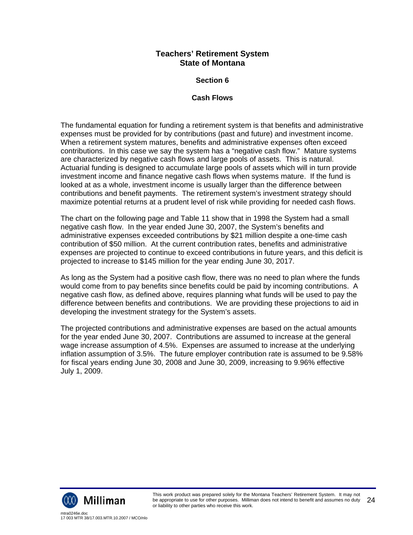## **Section 6**

## **Cash Flows**

The fundamental equation for funding a retirement system is that benefits and administrative expenses must be provided for by contributions (past and future) and investment income. When a retirement system matures, benefits and administrative expenses often exceed contributions. In this case we say the system has a "negative cash flow." Mature systems are characterized by negative cash flows and large pools of assets. This is natural. Actuarial funding is designed to accumulate large pools of assets which will in turn provide investment income and finance negative cash flows when systems mature. If the fund is looked at as a whole, investment income is usually larger than the difference between contributions and benefit payments. The retirement system's investment strategy should maximize potential returns at a prudent level of risk while providing for needed cash flows.

The chart on the following page and Table 11 show that in 1998 the System had a small negative cash flow. In the year ended June 30, 2007, the System's benefits and administrative expenses exceeded contributions by \$21 million despite a one-time cash contribution of \$50 million. At the current contribution rates, benefits and administrative expenses are projected to continue to exceed contributions in future years, and this deficit is projected to increase to \$145 million for the year ending June 30, 2017.

As long as the System had a positive cash flow, there was no need to plan where the funds would come from to pay benefits since benefits could be paid by incoming contributions. A negative cash flow, as defined above, requires planning what funds will be used to pay the difference between benefits and contributions. We are providing these projections to aid in developing the investment strategy for the System's assets.

The projected contributions and administrative expenses are based on the actual amounts for the year ended June 30, 2007. Contributions are assumed to increase at the general wage increase assumption of 4.5%. Expenses are assumed to increase at the underlying inflation assumption of 3.5%. The future employer contribution rate is assumed to be 9.58% for fiscal years ending June 30, 2008 and June 30, 2009, increasing to 9.96% effective July 1, 2009.

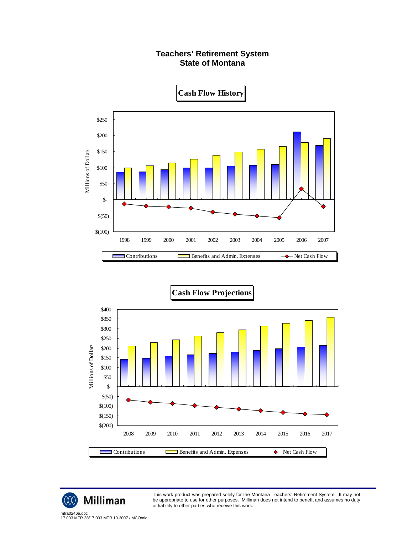

**Cash Flow Projections** \$400 \$350 \$300 \$250 Millions of Dollars Millions of Dollars \$200 \$150 \$100 \$50 \$- \$(50) \$(100) \$(150) \$(200) 2008 2009 2010 2011 2012 2013 2014 2015 2016 2017 Contributions **Benefits and Admin. Expenses**  $\rightarrow$  Net Cash Flow



This work product was prepared solely for the Montana Teachers' Retirement System. It may not be appropriate to use for other purposes. Milliman does not intend to benefit and assumes no duty or liability to other parties who receive this work.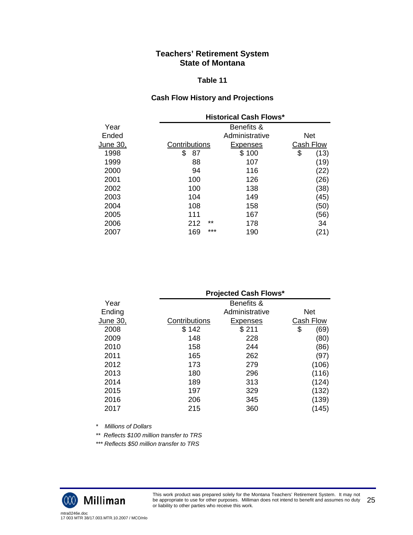#### **Table 11**

## **Cash Flow History and Projections**

|                 | <b>Historical Cash Flows*</b> |                 |            |
|-----------------|-------------------------------|-----------------|------------|
| Year            |                               | Benefits &      |            |
| Ended           |                               | Administrative  | <b>Net</b> |
| <u>June 30,</u> | Contributions                 | <b>Expenses</b> | Cash Flow  |
| 1998            | 87<br>S                       | \$100           | \$<br>(13) |
| 1999            | 88                            | 107             | (19)       |
| 2000            | 94                            | 116             | (22)       |
| 2001            | 100                           | 126             | (26)       |
| 2002            | 100                           | 138             | (38)       |
| 2003            | 104                           | 149             | (45)       |
| 2004            | 108                           | 158             | (50)       |
| 2005            | 111                           | 167             | (56)       |
| 2006            | $***$<br>212                  | 178             | 34         |
| 2007            | $***$<br>169                  | 190             | (21)       |

|                 | <b>Projected Cash Flows*</b> |                |    |            |
|-----------------|------------------------------|----------------|----|------------|
| Year            |                              | Benefits &     |    |            |
| Ending          |                              | Administrative |    | <b>Net</b> |
| <u>June 30,</u> | Contributions                | Expenses       |    | Cash Flow  |
| 2008            | \$142                        | \$211          | \$ | (69)       |
| 2009            | 148                          | 228            |    | (80)       |
| 2010            | 158                          | 244            |    | (86)       |
| 2011            | 165                          | 262            |    | (97)       |
| 2012            | 173                          | 279            |    | (106)      |
| 2013            | 180                          | 296            |    | (116)      |
| 2014            | 189                          | 313            |    | (124)      |
| 2015            | 197                          | 329            |    | (132)      |
| 2016            | 206                          | 345            |    | (139)      |
| 2017            | 215                          | 360            |    | (145)      |

*\* Millions of Dollars*

*\*\* Reflects \$100 million transfer to TRS*

*\*\*\* Reflects \$50 million transfer to TRS*



This work product was prepared solely for the Montana Teachers' Retirement System. It may not be appropriate to use for other purposes. Milliman does not intend to benefit and assumes no duty or liability to other parties who receive this work. 25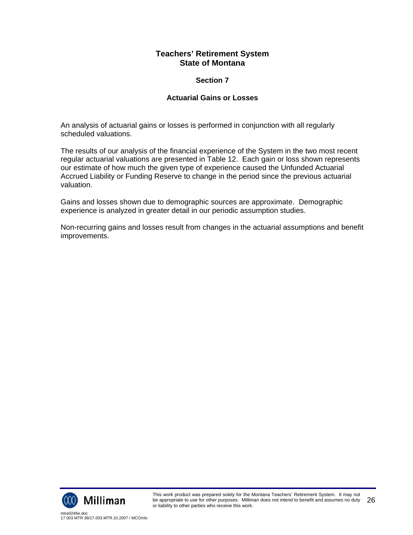## **Section 7**

## **Actuarial Gains or Losses**

An analysis of actuarial gains or losses is performed in conjunction with all regularly scheduled valuations.

The results of our analysis of the financial experience of the System in the two most recent regular actuarial valuations are presented in Table 12. Each gain or loss shown represents our estimate of how much the given type of experience caused the Unfunded Actuarial Accrued Liability or Funding Reserve to change in the period since the previous actuarial valuation.

Gains and losses shown due to demographic sources are approximate. Demographic experience is analyzed in greater detail in our periodic assumption studies.

Non-recurring gains and losses result from changes in the actuarial assumptions and benefit improvements.

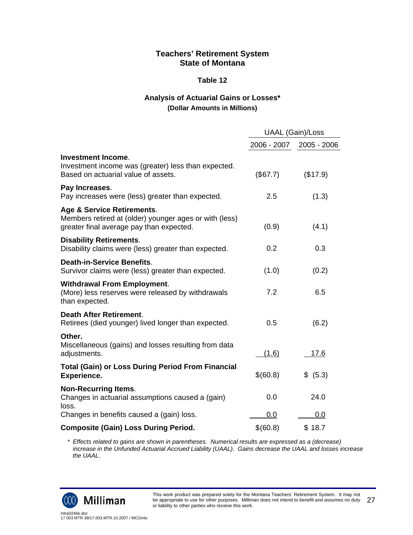## **Table 12**

# **Analysis of Actuarial Gains or Losses\* (Dollar Amounts in Millions)**

|                                                                                                                                  |             | <b>UAAL (Gain)/Loss</b> |
|----------------------------------------------------------------------------------------------------------------------------------|-------------|-------------------------|
|                                                                                                                                  | 2006 - 2007 | 2005 - 2006             |
| <b>Investment Income.</b><br>Investment income was (greater) less than expected.<br>Based on actuarial value of assets.          | (\$67.7)    | (\$17.9)                |
| Pay Increases.<br>Pay increases were (less) greater than expected.                                                               | 2.5         | (1.3)                   |
| Age & Service Retirements.<br>Members retired at (older) younger ages or with (less)<br>greater final average pay than expected. | (0.9)       | (4.1)                   |
| <b>Disability Retirements.</b><br>Disability claims were (less) greater than expected.                                           | 0.2         | 0.3                     |
| <b>Death-in-Service Benefits.</b><br>Survivor claims were (less) greater than expected.                                          | (1.0)       | (0.2)                   |
| <b>Withdrawal From Employment.</b><br>(More) less reserves were released by withdrawals<br>than expected.                        | 7.2         | 6.5                     |
| <b>Death After Retirement.</b><br>Retirees (died younger) lived longer than expected.                                            | 0.5         | (6.2)                   |
| Other.<br>Miscellaneous (gains) and losses resulting from data<br>adjustments.                                                   | (1.6)       | 17.6                    |
| <b>Total (Gain) or Loss During Period From Financial</b><br><b>Experience.</b>                                                   | \$(60.8)    | \$ (5.3)                |
| <b>Non-Recurring Items.</b><br>Changes in actuarial assumptions caused a (gain)<br>loss.                                         | 0.0         | 24.0                    |
| Changes in benefits caused a (gain) loss.                                                                                        | 0.0         | 0.0                     |
| <b>Composite (Gain) Loss During Period.</b>                                                                                      | \$(60.8)    | \$18.7                  |

 *\* Effects related to gains are shown in parentheses. Numerical results are expressed as a (decrease) increase in the Unfunded Actuarial Accrued Liability (UAAL). Gains decrease the UAAL and losses increase the UAAL.*

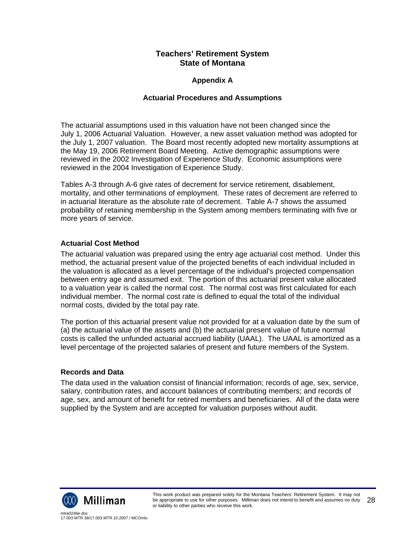## **Appendix A**

## **Actuarial Procedures and Assumptions**

The actuarial assumptions used in this valuation have not been changed since the July 1, 2006 Actuarial Valuation. However, a new asset valuation method was adopted for the July 1, 2007 valuation. The Board most recently adopted new mortality assumptions at the May 19, 2006 Retirement Board Meeting. Active demographic assumptions were reviewed in the 2002 Investigation of Experience Study. Economic assumptions were reviewed in the 2004 Investigation of Experience Study.

Tables A-3 through A-6 give rates of decrement for service retirement, disablement, mortality, and other terminations of employment. These rates of decrement are referred to in actuarial literature as the absolute rate of decrement. Table A-7 shows the assumed probability of retaining membership in the System among members terminating with five or more years of service.

## **Actuarial Cost Method**

The actuarial valuation was prepared using the entry age actuarial cost method. Under this method, the actuarial present value of the projected benefits of each individual included in the valuation is allocated as a level percentage of the individual's projected compensation between entry age and assumed exit. The portion of this actuarial present value allocated to a valuation year is called the normal cost. The normal cost was first calculated for each individual member. The normal cost rate is defined to equal the total of the individual normal costs, divided by the total pay rate.

The portion of this actuarial present value not provided for at a valuation date by the sum of (a) the actuarial value of the assets and (b) the actuarial present value of future normal costs is called the unfunded actuarial accrued liability (UAAL). The UAAL is amortized as a level percentage of the projected salaries of present and future members of the System.

## **Records and Data**

The data used in the valuation consist of financial information; records of age, sex, service, salary, contribution rates, and account balances of contributing members; and records of age, sex, and amount of benefit for retired members and beneficiaries. All of the data were supplied by the System and are accepted for valuation purposes without audit.

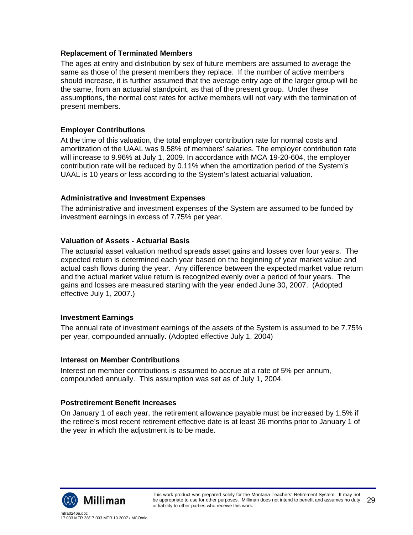### **Replacement of Terminated Members**

The ages at entry and distribution by sex of future members are assumed to average the same as those of the present members they replace. If the number of active members should increase, it is further assumed that the average entry age of the larger group will be the same, from an actuarial standpoint, as that of the present group. Under these assumptions, the normal cost rates for active members will not vary with the termination of present members.

## **Employer Contributions**

At the time of this valuation, the total employer contribution rate for normal costs and amortization of the UAAL was 9.58% of members' salaries. The employer contribution rate will increase to 9.96% at July 1, 2009. In accordance with MCA 19-20-604, the employer contribution rate will be reduced by 0.11% when the amortization period of the System's UAAL is 10 years or less according to the System's latest actuarial valuation.

## **Administrative and Investment Expenses**

The administrative and investment expenses of the System are assumed to be funded by investment earnings in excess of 7.75% per year.

#### **Valuation of Assets - Actuarial Basis**

The actuarial asset valuation method spreads asset gains and losses over four years. The expected return is determined each year based on the beginning of year market value and actual cash flows during the year. Any difference between the expected market value return and the actual market value return is recognized evenly over a period of four years. The gains and losses are measured starting with the year ended June 30, 2007. (Adopted effective July 1, 2007.)

## **Investment Earnings**

The annual rate of investment earnings of the assets of the System is assumed to be 7.75% per year, compounded annually. (Adopted effective July 1, 2004)

#### **Interest on Member Contributions**

Interest on member contributions is assumed to accrue at a rate of 5% per annum, compounded annually. This assumption was set as of July 1, 2004.

#### **Postretirement Benefit Increases**

On January 1 of each year, the retirement allowance payable must be increased by 1.5% if the retiree's most recent retirement effective date is at least 36 months prior to January 1 of the year in which the adjustment is to be made.

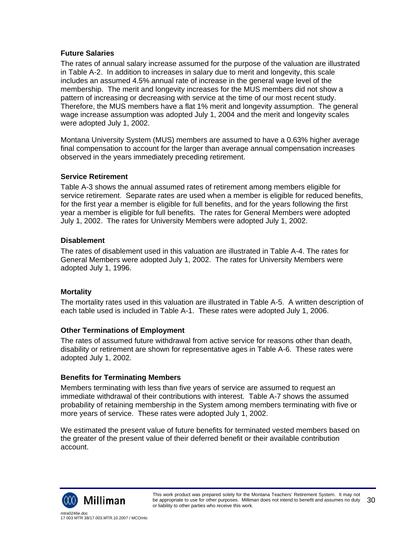### **Future Salaries**

The rates of annual salary increase assumed for the purpose of the valuation are illustrated in Table A-2. In addition to increases in salary due to merit and longevity, this scale includes an assumed 4.5% annual rate of increase in the general wage level of the membership. The merit and longevity increases for the MUS members did not show a pattern of increasing or decreasing with service at the time of our most recent study. Therefore, the MUS members have a flat 1% merit and longevity assumption. The general wage increase assumption was adopted July 1, 2004 and the merit and longevity scales were adopted July 1, 2002.

Montana University System (MUS) members are assumed to have a 0.63% higher average final compensation to account for the larger than average annual compensation increases observed in the years immediately preceding retirement.

## **Service Retirement**

Table A-3 shows the annual assumed rates of retirement among members eligible for service retirement. Separate rates are used when a member is eligible for reduced benefits, for the first year a member is eligible for full benefits, and for the years following the first year a member is eligible for full benefits. The rates for General Members were adopted July 1, 2002. The rates for University Members were adopted July 1, 2002.

#### **Disablement**

The rates of disablement used in this valuation are illustrated in Table A-4. The rates for General Members were adopted July 1, 2002. The rates for University Members were adopted July 1, 1996.

## **Mortality**

The mortality rates used in this valuation are illustrated in Table A-5. A written description of each table used is included in Table A-1. These rates were adopted July 1, 2006.

## **Other Terminations of Employment**

The rates of assumed future withdrawal from active service for reasons other than death, disability or retirement are shown for representative ages in Table A-6. These rates were adopted July 1, 2002.

## **Benefits for Terminating Members**

Members terminating with less than five years of service are assumed to request an immediate withdrawal of their contributions with interest. Table A-7 shows the assumed probability of retaining membership in the System among members terminating with five or more years of service. These rates were adopted July 1, 2002.

We estimated the present value of future benefits for terminated vested members based on the greater of the present value of their deferred benefit or their available contribution account.

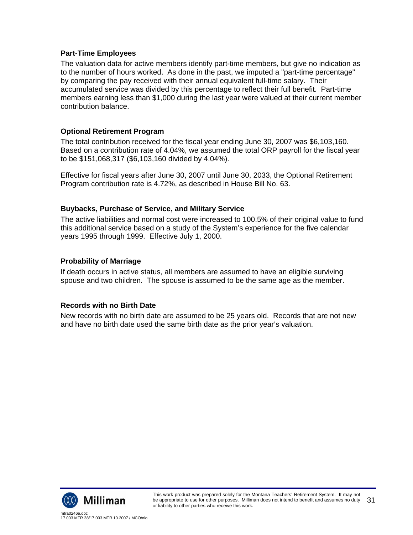## **Part-Time Employees**

The valuation data for active members identify part-time members, but give no indication as to the number of hours worked. As done in the past, we imputed a "part-time percentage" by comparing the pay received with their annual equivalent full-time salary. Their accumulated service was divided by this percentage to reflect their full benefit. Part-time members earning less than \$1,000 during the last year were valued at their current member contribution balance.

## **Optional Retirement Program**

The total contribution received for the fiscal year ending June 30, 2007 was \$6,103,160. Based on a contribution rate of 4.04%, we assumed the total ORP payroll for the fiscal year to be \$151,068,317 (\$6,103,160 divided by 4.04%).

Effective for fiscal years after June 30, 2007 until June 30, 2033, the Optional Retirement Program contribution rate is 4.72%, as described in House Bill No. 63.

## **Buybacks, Purchase of Service, and Military Service**

The active liabilities and normal cost were increased to 100.5% of their original value to fund this additional service based on a study of the System's experience for the five calendar years 1995 through 1999. Effective July 1, 2000.

## **Probability of Marriage**

If death occurs in active status, all members are assumed to have an eligible surviving spouse and two children. The spouse is assumed to be the same age as the member.

## **Records with no Birth Date**

New records with no birth date are assumed to be 25 years old. Records that are not new and have no birth date used the same birth date as the prior year's valuation.

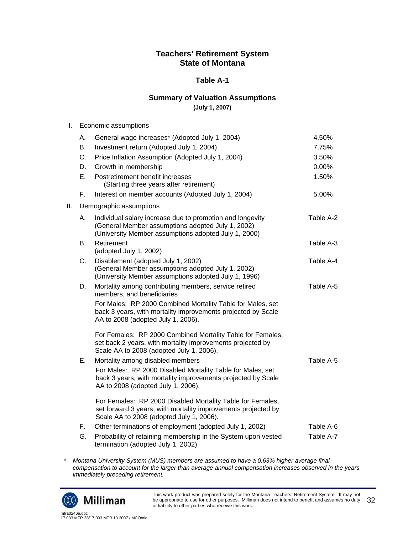## **Table A-1**

## **Summary of Valuation Assumptions**

**(July 1, 2007)** 

| I. | Economic assumptions |
|----|----------------------|
|----|----------------------|

|     | А. | General wage increases* (Adopted July 1, 2004)                                                                                                                          | 4.50%     |
|-----|----|-------------------------------------------------------------------------------------------------------------------------------------------------------------------------|-----------|
|     | В. | Investment return (Adopted July 1, 2004)                                                                                                                                | 7.75%     |
|     | C. | Price Inflation Assumption (Adopted July 1, 2004)                                                                                                                       | 3.50%     |
|     | D. | Growth in membership                                                                                                                                                    | 0.00%     |
|     | E. | Postretirement benefit increases<br>(Starting three years after retirement)                                                                                             | 1.50%     |
|     | F. | Interest on member accounts (Adopted July 1, 2004)                                                                                                                      | 5.00%     |
| ΙΙ. |    | Demographic assumptions                                                                                                                                                 |           |
|     | А. | Individual salary increase due to promotion and longevity<br>(General Member assumptions adopted July 1, 2002)<br>(University Member assumptions adopted July 1, 2000)  | Table A-2 |
|     | В. | Retirement<br>(adopted July 1, 2002)                                                                                                                                    | Table A-3 |
|     | С. | Disablement (adopted July 1, 2002)<br>(General Member assumptions adopted July 1, 2002)<br>(University Member assumptions adopted July 1, 1996)                         | Table A-4 |
|     | D. | Mortality among contributing members, service retired<br>members, and beneficiaries                                                                                     | Table A-5 |
|     |    | For Males: RP 2000 Combined Mortality Table for Males, set<br>back 3 years, with mortality improvements projected by Scale<br>AA to 2008 (adopted July 1, 2006).        |           |
|     |    | For Females: RP 2000 Combined Mortality Table for Females,<br>set back 2 years, with mortality improvements projected by<br>Scale AA to 2008 (adopted July 1, 2006).    |           |
|     | Ε. | Mortality among disabled members                                                                                                                                        | Table A-5 |
|     |    | For Males: RP 2000 Disabled Mortality Table for Males, set<br>back 3 years, with mortality improvements projected by Scale<br>AA to 2008 (adopted July 1, 2006).        |           |
|     |    | For Females: RP 2000 Disabled Mortality Table for Females,<br>set forward 3 years, with mortality improvements projected by<br>Scale AA to 2008 (adopted July 1, 2006). |           |
|     | F. | Other terminations of employment (adopted July 1, 2002)                                                                                                                 | Table A-6 |
|     | G. | Probability of retaining membership in the System upon vested<br>termination (adopted July 1, 2002)                                                                     | Table A-7 |

*\* Montana University System (MUS) members are assumed to have a 0.63% higher average final compensation to account for the larger than average annual compensation increases observed in the years immediately preceding retirement.* 



This work product was prepared solely for the Montana Teachers' Retirement System. It may not be appropriate to use for other purposes. Milliman does not intend to benefit and assumes no duty or liability to other parties who receive this work. 32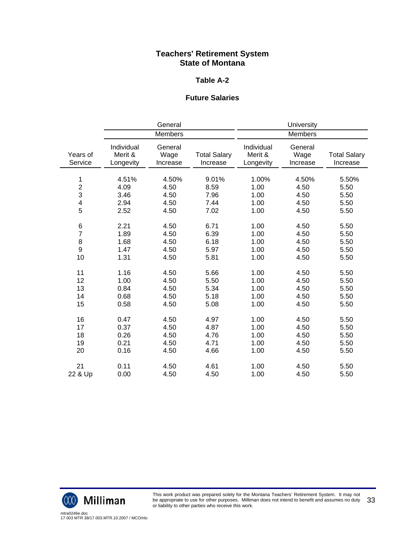### **Table A-2**

## **Future Salaries**

|                     |                                    | General                     |                                 |                                    | University                  |                                 |
|---------------------|------------------------------------|-----------------------------|---------------------------------|------------------------------------|-----------------------------|---------------------------------|
|                     | Members                            |                             | <b>Members</b>                  |                                    |                             |                                 |
| Years of<br>Service | Individual<br>Merit &<br>Longevity | General<br>Wage<br>Increase | <b>Total Salary</b><br>Increase | Individual<br>Merit &<br>Longevity | General<br>Wage<br>Increase | <b>Total Salary</b><br>Increase |
| 1                   | 4.51%                              | 4.50%                       | 9.01%                           | 1.00%                              | 4.50%                       | 5.50%                           |
| $\overline{c}$      | 4.09                               | 4.50                        | 8.59                            | 1.00                               | 4.50                        | 5.50                            |
| 3                   | 3.46                               | 4.50                        | 7.96                            | 1.00                               | 4.50                        | 5.50                            |
| 4                   | 2.94                               | 4.50                        | 7.44                            | 1.00                               | 4.50                        | 5.50                            |
| 5                   | 2.52                               | 4.50                        | 7.02                            | 1.00                               | 4.50                        | 5.50                            |
| 6                   | 2.21                               | 4.50                        | 6.71                            | 1.00                               | 4.50                        | 5.50                            |
| $\overline{7}$      | 1.89                               | 4.50                        | 6.39                            | 1.00                               | 4.50                        | 5.50                            |
| 8                   | 1.68                               | 4.50                        | 6.18                            | 1.00                               | 4.50                        | 5.50                            |
| 9                   | 1.47                               | 4.50                        | 5.97                            | 1.00                               | 4.50                        | 5.50                            |
| 10                  | 1.31                               | 4.50                        | 5.81                            | 1.00                               | 4.50                        | 5.50                            |
| 11                  | 1.16                               | 4.50                        | 5.66                            | 1.00                               | 4.50                        | 5.50                            |
| 12                  | 1.00                               | 4.50                        | 5.50                            | 1.00                               | 4.50                        | 5.50                            |
| 13                  | 0.84                               | 4.50                        | 5.34                            | 1.00                               | 4.50                        | 5.50                            |
| 14                  | 0.68                               | 4.50                        | 5.18                            | 1.00                               | 4.50                        | 5.50                            |
| 15                  | 0.58                               | 4.50                        | 5.08                            | 1.00                               | 4.50                        | 5.50                            |
| 16                  | 0.47                               | 4.50                        | 4.97                            | 1.00                               | 4.50                        | 5.50                            |
| 17                  | 0.37                               | 4.50                        | 4.87                            | 1.00                               | 4.50                        | 5.50                            |
| 18                  | 0.26                               | 4.50                        | 4.76                            | 1.00                               | 4.50                        | 5.50                            |
| 19                  | 0.21                               | 4.50                        | 4.71                            | 1.00                               | 4.50                        | 5.50                            |
| 20                  | 0.16                               | 4.50                        | 4.66                            | 1.00                               | 4.50                        | 5.50                            |
| 21                  | 0.11                               | 4.50                        | 4.61                            | 1.00                               | 4.50                        | 5.50                            |
| 22 & Up             | 0.00                               | 4.50                        | 4.50                            | 1.00                               | 4.50                        | 5.50                            |

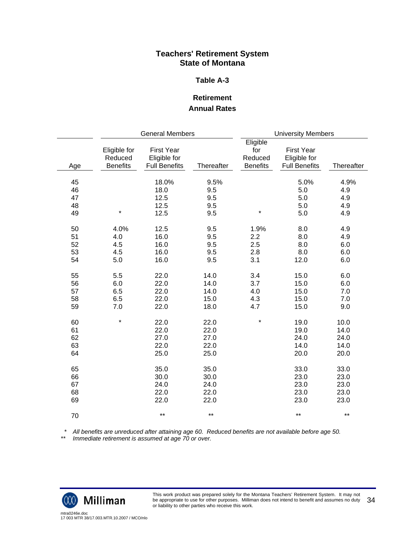### **Table A-3**

## **Retirement Annual Rates**

|                            |                                            | <b>General Members</b>                                    |                                      |                                               | <b>University Members</b>                                 |                                      |
|----------------------------|--------------------------------------------|-----------------------------------------------------------|--------------------------------------|-----------------------------------------------|-----------------------------------------------------------|--------------------------------------|
| Age                        | Eligible for<br>Reduced<br><b>Benefits</b> | <b>First Year</b><br>Eligible for<br><b>Full Benefits</b> | Thereafter                           | Eligible<br>for<br>Reduced<br><b>Benefits</b> | <b>First Year</b><br>Eligible for<br><b>Full Benefits</b> | Thereafter                           |
| 45<br>46<br>47<br>48<br>49 | $\star$                                    | 18.0%<br>18.0<br>12.5<br>12.5<br>12.5                     | 9.5%<br>9.5<br>9.5<br>9.5<br>9.5     | $\star$                                       | 5.0%<br>5.0<br>5.0<br>5.0<br>5.0                          | 4.9%<br>4.9<br>4.9<br>4.9<br>4.9     |
| 50<br>51<br>52<br>53<br>54 | 4.0%<br>4.0<br>4.5<br>4.5<br>5.0           | 12.5<br>16.0<br>16.0<br>16.0<br>16.0                      | 9.5<br>9.5<br>9.5<br>9.5<br>9.5      | 1.9%<br>2.2<br>2.5<br>2.8<br>3.1              | 8.0<br>8.0<br>8.0<br>8.0<br>12.0                          | 4.9<br>4.9<br>6.0<br>6.0<br>6.0      |
| 55<br>56<br>57<br>58<br>59 | 5.5<br>6.0<br>6.5<br>6.5<br>7.0            | 22.0<br>22.0<br>22.0<br>22.0<br>22.0                      | 14.0<br>14.0<br>14.0<br>15.0<br>18.0 | 3.4<br>3.7<br>4.0<br>4.3<br>4.7               | 15.0<br>15.0<br>15.0<br>15.0<br>15.0                      | 6.0<br>6.0<br>7.0<br>7.0<br>9.0      |
| 60<br>61<br>62<br>63<br>64 | $\star$                                    | 22.0<br>22.0<br>27.0<br>22.0<br>25.0                      | 22.0<br>22.0<br>27.0<br>22.0<br>25.0 | $\star$                                       | 19.0<br>19.0<br>24.0<br>14.0<br>20.0                      | 10.0<br>14.0<br>24.0<br>14.0<br>20.0 |
| 65<br>66<br>67<br>68<br>69 |                                            | 35.0<br>30.0<br>24.0<br>22.0<br>22.0                      | 35.0<br>30.0<br>24.0<br>22.0<br>22.0 |                                               | 33.0<br>23.0<br>23.0<br>23.0<br>23.0                      | 33.0<br>23.0<br>23.0<br>23.0<br>23.0 |
| 70                         |                                            | $***$                                                     | $***$                                |                                               | $***$                                                     | $***$                                |

 *\* All benefits are unreduced after attaining age 60. Reduced benefits are not available before age 50.* 

*\*\* Immediate retirement is assumed at age 70 or over.* 

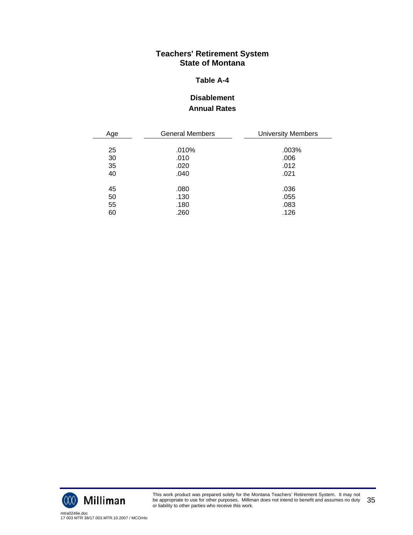### **Table A-4**

# **Disablement Annual Rates**

| Age | <b>General Members</b> | <b>University Members</b> |
|-----|------------------------|---------------------------|
|     |                        |                           |
| 25  | .010%                  | .003%                     |
| 30  | .010                   | .006                      |
| 35  | .020                   | .012                      |
| 40  | .040                   | .021                      |
|     |                        |                           |
| 45  | .080                   | .036                      |
| 50  | .130                   | .055                      |
| 55  | .180                   | .083                      |
| 60  | .260                   | .126                      |

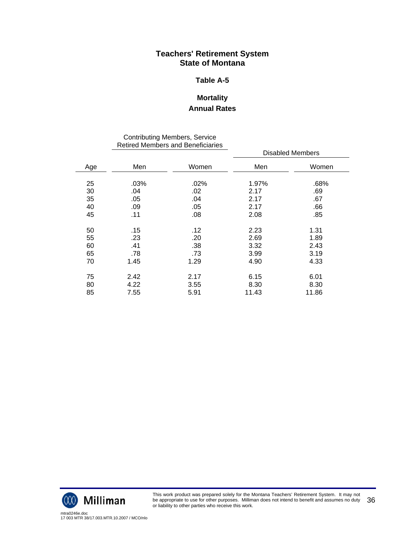## **Table A-5**

# **Mortality Annual Rates**

#### Contributing Members, Service Retired Members and Beneficiaries

|     |      | INGUIGU IVIGHIDGIS AHU DEHGIIGILGS |       |                  |
|-----|------|------------------------------------|-------|------------------|
|     |      |                                    |       | Disabled Members |
| Age | Men  | Women                              | Men   | Women            |
| 25  | .03% | .02%                               | 1.97% | .68%             |
| 30  | .04  | .02                                | 2.17  | .69              |
| 35  | .05  | .04                                | 2.17  | .67              |
| 40  | .09  | .05                                | 2.17  | .66              |
| 45  | .11  | .08                                | 2.08  | .85              |
| 50  | .15  | .12                                | 2.23  | 1.31             |
| 55  | .23  | .20                                | 2.69  | 1.89             |
| 60  | .41  | .38                                | 3.32  | 2.43             |
| 65  | .78  | .73                                | 3.99  | 3.19             |
| 70  | 1.45 | 1.29                               | 4.90  | 4.33             |
| 75  | 2.42 | 2.17                               | 6.15  | 6.01             |
| 80  | 4.22 | 3.55                               | 8.30  | 8.30             |
| 85  | 7.55 | 5.91                               | 11.43 | 11.86            |
|     |      |                                    |       |                  |

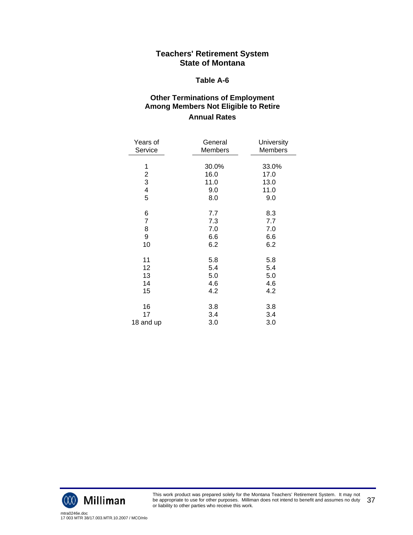#### **Table A-6**

## **Other Terminations of Employment Among Members Not Eligible to Retire Annual Rates**

| Years of<br>Service     | General<br>Members | University<br><b>Members</b> |
|-------------------------|--------------------|------------------------------|
|                         |                    |                              |
| 1                       | 30.0%              | 33.0%                        |
| $\overline{\mathbf{c}}$ | 16.0               | 17.0                         |
| 3                       | 11.0               | 13.0                         |
| 4                       | 9.0                | 11.0                         |
| 5                       | 8.0                | 9.0                          |
| 6                       | 7.7                | 8.3                          |
| $\overline{7}$          | 7.3                | 7.7                          |
| 8                       | 7.0                | 7.0                          |
| 9                       | 6.6                | 6.6                          |
| 10                      | 6.2                | 6.2                          |
| 11                      | 5.8                | 5.8                          |
| 12                      | 5.4                | 5.4                          |
| 13                      | 5.0                | 5.0                          |
| 14                      | 4.6                | 4.6                          |
| 15                      | 4.2                | 4.2                          |
|                         |                    |                              |
| 16                      | 3.8                | 3.8                          |
| 17                      | 3.4                | 3.4                          |
| 18 and up               | 3.0                | 3.0                          |



This work product was prepared solely for the Montana Teachers' Retirement System. It may not be appropriate to use for other purposes. Milliman does not intend to benefit and assumes no duty or liability to other parties who receive this work. 37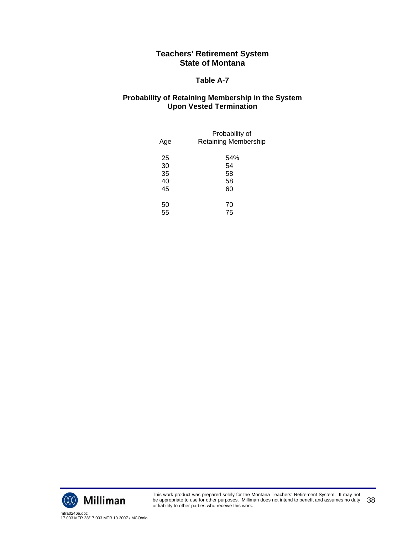## **Table A-7**

## **Probability of Retaining Membership in the System Upon Vested Termination**

| Age | Probability of<br><b>Retaining Membership</b> |
|-----|-----------------------------------------------|
|     |                                               |
| 25  | 54%                                           |
| 30  | 54                                            |
| 35  | 58                                            |
| 40  | 58                                            |
| 45  | 60                                            |
|     |                                               |
| 50  | 70                                            |
| 55  | 75                                            |

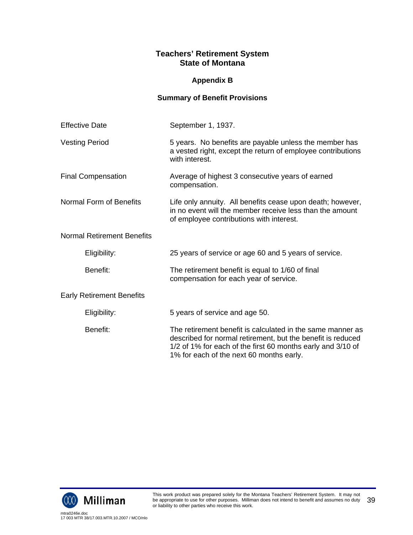# **Appendix B**

# **Summary of Benefit Provisions**

| <b>Effective Date</b>             | September 1, 1937.                                                                                                                                                                                                                   |
|-----------------------------------|--------------------------------------------------------------------------------------------------------------------------------------------------------------------------------------------------------------------------------------|
| <b>Vesting Period</b>             | 5 years. No benefits are payable unless the member has<br>a vested right, except the return of employee contributions<br>with interest.                                                                                              |
| <b>Final Compensation</b>         | Average of highest 3 consecutive years of earned<br>compensation.                                                                                                                                                                    |
| Normal Form of Benefits           | Life only annuity. All benefits cease upon death; however,<br>in no event will the member receive less than the amount<br>of employee contributions with interest.                                                                   |
| <b>Normal Retirement Benefits</b> |                                                                                                                                                                                                                                      |
| Eligibility:                      | 25 years of service or age 60 and 5 years of service.                                                                                                                                                                                |
| Benefit:                          | The retirement benefit is equal to 1/60 of final<br>compensation for each year of service.                                                                                                                                           |
| <b>Early Retirement Benefits</b>  |                                                                                                                                                                                                                                      |
| Eligibility:                      | 5 years of service and age 50.                                                                                                                                                                                                       |
| Benefit:                          | The retirement benefit is calculated in the same manner as<br>described for normal retirement, but the benefit is reduced<br>1/2 of 1% for each of the first 60 months early and 3/10 of<br>1% for each of the next 60 months early. |

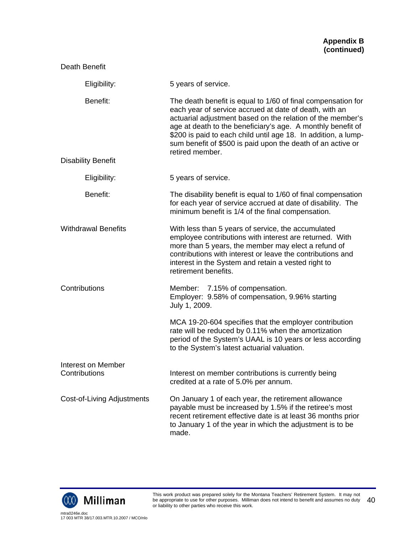| Death Benefit                       |                                                                                                                                                                                                                                                                                                                                                                                                         |
|-------------------------------------|---------------------------------------------------------------------------------------------------------------------------------------------------------------------------------------------------------------------------------------------------------------------------------------------------------------------------------------------------------------------------------------------------------|
| Eligibility:                        | 5 years of service.                                                                                                                                                                                                                                                                                                                                                                                     |
| Benefit:                            | The death benefit is equal to 1/60 of final compensation for<br>each year of service accrued at date of death, with an<br>actuarial adjustment based on the relation of the member's<br>age at death to the beneficiary's age. A monthly benefit of<br>\$200 is paid to each child until age 18. In addition, a lump-<br>sum benefit of \$500 is paid upon the death of an active or<br>retired member. |
| <b>Disability Benefit</b>           |                                                                                                                                                                                                                                                                                                                                                                                                         |
| Eligibility:                        | 5 years of service.                                                                                                                                                                                                                                                                                                                                                                                     |
| Benefit:                            | The disability benefit is equal to 1/60 of final compensation<br>for each year of service accrued at date of disability. The<br>minimum benefit is 1/4 of the final compensation.                                                                                                                                                                                                                       |
| <b>Withdrawal Benefits</b>          | With less than 5 years of service, the accumulated<br>employee contributions with interest are returned. With<br>more than 5 years, the member may elect a refund of<br>contributions with interest or leave the contributions and<br>interest in the System and retain a vested right to<br>retirement benefits.                                                                                       |
| Contributions                       | Member: 7.15% of compensation.<br>Employer: 9.58% of compensation, 9.96% starting<br>July 1, 2009.                                                                                                                                                                                                                                                                                                      |
|                                     | MCA 19-20-604 specifies that the employer contribution<br>rate will be reduced by 0.11% when the amortization<br>period of the System's UAAL is 10 years or less according<br>to the System's latest actuarial valuation.                                                                                                                                                                               |
| Interest on Member<br>Contributions | Interest on member contributions is currently being<br>credited at a rate of 5.0% per annum.                                                                                                                                                                                                                                                                                                            |
| Cost-of-Living Adjustments          | On January 1 of each year, the retirement allowance<br>payable must be increased by 1.5% if the retiree's most<br>recent retirement effective date is at least 36 months prior<br>to January 1 of the year in which the adjustment is to be<br>made.                                                                                                                                                    |

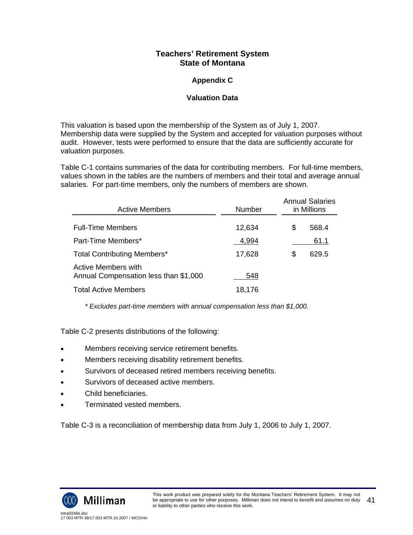# **Appendix C**

## **Valuation Data**

This valuation is based upon the membership of the System as of July 1, 2007. Membership data were supplied by the System and accepted for valuation purposes without audit. However, tests were performed to ensure that the data are sufficiently accurate for valuation purposes.

Table C-1 contains summaries of the data for contributing members. For full-time members, values shown in the tables are the numbers of members and their total and average annual salaries. For part-time members, only the numbers of members are shown.

| Active Members                                               | Number | <b>Annual Salaries</b><br>in Millions |       |  |  |
|--------------------------------------------------------------|--------|---------------------------------------|-------|--|--|
| <b>Full-Time Members</b>                                     | 12,634 | S                                     | 568.4 |  |  |
| Part-Time Members*                                           | 4,994  |                                       | 61.1  |  |  |
| <b>Total Contributing Members*</b>                           | 17,628 | S                                     | 629.5 |  |  |
| Active Members with<br>Annual Compensation less than \$1,000 | 548    |                                       |       |  |  |
| <b>Total Active Members</b>                                  | 18,176 |                                       |       |  |  |

*\* Excludes part-time members with annual compensation less than \$1,000.* 

Table C-2 presents distributions of the following:

- Members receiving service retirement benefits.
- Members receiving disability retirement benefits.
- Survivors of deceased retired members receiving benefits.
- Survivors of deceased active members.
- Child beneficiaries.
- Terminated vested members.

Table C-3 is a reconciliation of membership data from July 1, 2006 to July 1, 2007.

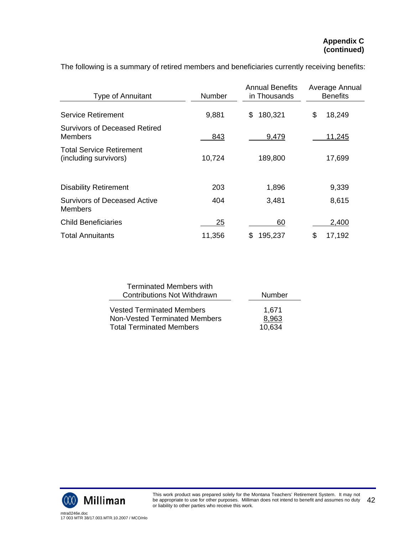| Type of Annuitant                                        | Number | <b>Annual Benefits</b><br>in Thousands | Average Annual<br><b>Benefits</b> |
|----------------------------------------------------------|--------|----------------------------------------|-----------------------------------|
| <b>Service Retirement</b>                                | 9,881  | 180,321<br>\$                          | \$<br>18,249                      |
| <b>Survivors of Deceased Retired</b><br>Members          | 843    | 9,479                                  | <u>11,245</u>                     |
| <b>Total Service Retirement</b><br>(including survivors) | 10,724 | 189,800                                | 17,699                            |
| <b>Disability Retirement</b>                             | 203    | 1,896                                  | 9,339                             |
| <b>Survivors of Deceased Active</b><br>Members           | 404    | 3,481                                  | 8,615                             |
| <b>Child Beneficiaries</b>                               | 25     | 60                                     | 2,400                             |
| <b>Total Annuitants</b>                                  | 11,356 | 195,237<br>S                           | \$<br>17,192                      |

The following is a summary of retired members and beneficiaries currently receiving benefits:

| <b>Terminated Members with</b>       |        |
|--------------------------------------|--------|
| Contributions Not Withdrawn          | Number |
| <b>Vested Terminated Members</b>     | 1,671  |
| <b>Non-Vested Terminated Members</b> | 8,963  |
| <b>Total Terminated Members</b>      | 10,634 |



l,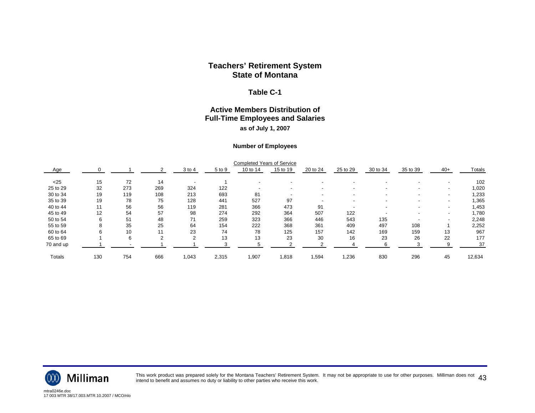#### **Table C-1**

## **Active Members Distribution of Full-Time Employees and Salaries as of July 1, 2007**

#### **Number of Employees**

|           |                   |     |     |            |        |          | <b>Completed Years of Service</b> |          |                          |          |          |                          |        |
|-----------|-------------------|-----|-----|------------|--------|----------|-----------------------------------|----------|--------------------------|----------|----------|--------------------------|--------|
| Age       |                   |     |     | $3$ to $4$ | 5 to 9 | 10 to 14 | 15 to 19                          | 20 to 24 | 25 to 29                 | 30 to 34 | 35 to 39 | $40+$                    | Totals |
| $25$      | 15                | 72  | 14  |            |        |          |                                   |          |                          |          |          |                          | 102    |
| 25 to 29  | 32                | 273 | 269 | 324        | 122    |          |                                   |          | $\overline{\phantom{a}}$ |          |          | $\blacksquare$           | 1,020  |
| 30 to 34  | 19                | 119 | 108 | 213        | 693    | 81       |                                   |          | ۰.                       |          |          | $\blacksquare$           | 1,233  |
| 35 to 39  | 19                | 78  | 75  | 128        | 441    | 527      | 97                                |          |                          |          |          | $\overline{\phantom{a}}$ | 1,365  |
| 40 to 44  | 11                | 56  | 56  | 119        | 281    | 366      | 473                               | 91       |                          |          |          | $\blacksquare$           | 1,453  |
| 45 to 49  | $12 \overline{ }$ | 54  | 57  | 98         | 274    | 292      | 364                               | 507      | 122                      |          |          | $\overline{\phantom{a}}$ | 1,780  |
| 50 to 54  |                   | 51  | 48  | 71         | 259    | 323      | 366                               | 446      | 543                      | 135      |          | $\overline{\phantom{a}}$ | 2,248  |
| 55 to 59  |                   | 35  | 25  | 64         | 154    | 222      | 368                               | 361      | 409                      | 497      | 108      |                          | 2,252  |
| 60 to 64  |                   | 10  | 11  | 23         | 74     | 78       | 125                               | 157      | 142                      | 169      | 159      | 13                       | 967    |
| 65 to 69  |                   | 6   |     |            | 13     | 13       | 23                                | 30       | 16                       | 23       | 26       | 22                       | 177    |
| 70 and up |                   |     |     |            | $\sim$ |          |                                   |          |                          |          |          | 9                        | 37     |
| Totals    | 130               | 754 | 666 | 1,043      | 2,315  | 1,907    | 1,818                             | 1,594    | 1,236                    | 830      | 296      | 45                       | 12,634 |



This work product was prepared solely for the Montana Teachers' Retirement System. It may not be appropriate to use for other purposes. Milliman does not  $\ 43$ <br>intend to benefit and assumes no duty or liability to other p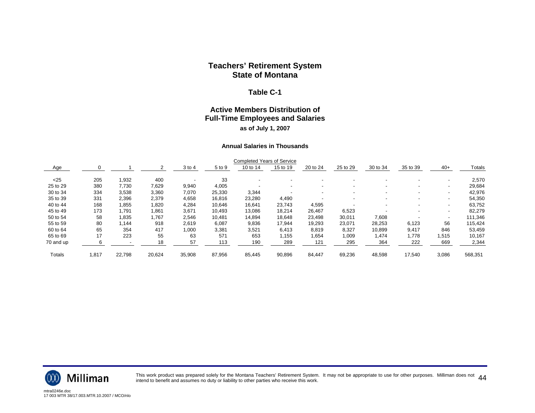#### **Table C-1**

## **Active Members Distribution of Full-Time Employees and Salaries as of July 1, 2007**

#### **Annual Salaries in Thousands**

|           |       |        |        |            |        | <b>Completed Years of Service</b> |          |          |                          |          |                          |                          |         |
|-----------|-------|--------|--------|------------|--------|-----------------------------------|----------|----------|--------------------------|----------|--------------------------|--------------------------|---------|
| Age       |       |        |        | $3$ to $4$ | 5 to 9 | 10 to 14                          | 15 to 19 | 20 to 24 | 25 to 29                 | 30 to 34 | 35 to 39                 | $40+$                    | Totals  |
| $25$      | 205   | .932   | 400    |            | 33     |                                   |          |          |                          |          |                          | $\overline{\phantom{a}}$ | 2,570   |
| 25 to 29  | 380   | 7,730  | 7,629  | 9,940      | 4,005  |                                   |          |          | $\overline{\phantom{0}}$ |          | $\overline{\phantom{0}}$ | $\overline{\phantom{a}}$ | 29,684  |
| 30 to 34  | 334   | 3,538  | 3,360  | 7,070      | 25,330 | 3,344                             |          |          |                          |          | $\overline{\phantom{0}}$ | $\overline{\phantom{a}}$ | 42,976  |
| 35 to 39  | 331   | 2,396  | 2,379  | 4,658      | 16,816 | 23,280                            | 4,490    |          |                          |          |                          | $\overline{\phantom{a}}$ | 54,350  |
| 40 to 44  | 168   | .855   | 1,820  | 4,284      | 10,646 | 16,641                            | 23,743   | 4,595    |                          |          | $\overline{\phantom{0}}$ | $\overline{\phantom{a}}$ | 63,752  |
| 45 to 49  | 173   | 791.ا  | 1,861  | 3,671      | 10,493 | 13,086                            | 18,214   | 26,467   | 6,523                    |          | $\overline{\phantom{a}}$ | $\overline{\phantom{a}}$ | 82,279  |
| 50 to 54  | 58    | .835   | 1,767  | 2,546      | 10,481 | 14,894                            | 18,648   | 23,498   | 30,011                   | 7,608    |                          | $\overline{\phantom{a}}$ | 111,346 |
| 55 to 59  | 80    | .144   | 918    | 2,619      | 6,087  | 9,836                             | 17,944   | 19,293   | 23,071                   | 28,253   | 6,123                    | 56                       | 115,424 |
| 60 to 64  | 65    | 354    | 417    | 1,000      | 3,381  | 3,521                             | 6,413    | 8,819    | 8,327                    | 10,899   | 9,417                    | 846                      | 53,459  |
| 65 to 69  | 17    | 223    | 55     | 63         | 571    | 653                               | 1,155    | 1,654    | 1,009                    | 1,474    | 1,778                    | 1,515                    | 10,167  |
| 70 and up |       |        | 18     | 57         | 113    | 190                               | 289      | 121      | 295                      | 364      | 222                      | 669                      | 2,344   |
| Totals    | 1,817 | 22,798 | 20,624 | 35,908     | 87,956 | 85,445                            | 90,896   | 84,447   | 69,236                   | 48,598   | 17,540                   | 3,086                    | 568,351 |



This work product was prepared solely for the Montana Teachers' Retirement System. It may not be appropriate to use for other purposes. Milliman does not  $\,\,44$ <br>intend to benefit and assumes no duty or liability to other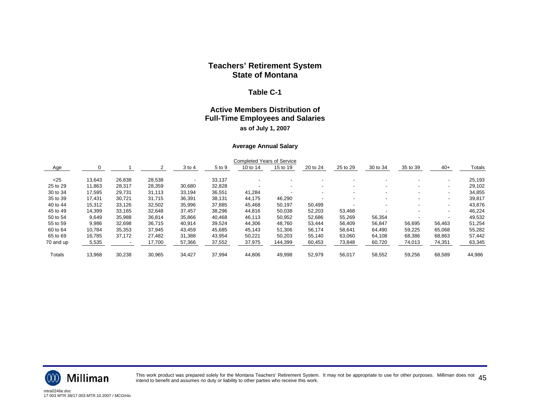#### **Table C-1**

## **Active Members Distribution of Full-Time Employees and Salaries as of July 1, 2007**

#### **Average Annual Salary**

|           |        |        |        |            |        | <b>Completed Years of Service</b> |          |          |          |          |                          |                          |               |
|-----------|--------|--------|--------|------------|--------|-----------------------------------|----------|----------|----------|----------|--------------------------|--------------------------|---------------|
| Age       |        |        |        | $3$ to $4$ | 5 to 9 | 10 to 14                          | 15 to 19 | 20 to 24 | 25 to 29 | 30 to 34 | 35 to 39                 | $40+$                    | <b>Totals</b> |
| $25$      | 13,643 | 26,838 | 28,538 |            | 33,137 |                                   |          |          |          |          |                          | $\overline{\phantom{a}}$ | 25,193        |
| 25 to 29  | 11,863 | 28,317 | 28,359 | 30,680     | 32,828 | $\overline{\phantom{a}}$          |          |          |          |          | $\overline{\phantom{0}}$ | $\overline{\phantom{a}}$ | 29,102        |
| 30 to 34  | 17,595 | 29,731 | 31,113 | 33,194     | 36,551 | 41,284                            |          |          |          |          | $\overline{\phantom{0}}$ | $\overline{\phantom{a}}$ | 34,855        |
| 35 to 39  | 17,431 | 30,721 | 31.715 | 36,391     | 38,131 | 44,175                            | 46,290   |          |          |          | $\overline{\phantom{0}}$ | $\overline{\phantom{a}}$ | 39,817        |
| 40 to 44  | 15,312 | 33,126 | 32,502 | 35,996     | 37,885 | 45,468                            | 50,197   | 50,499   |          |          | $\overline{\phantom{0}}$ | $\overline{\phantom{a}}$ | 43,876        |
| 45 to 49  | 14,399 | 33,165 | 32,648 | 37,457     | 38,296 | 44,816                            | 50,038   | 52,203   | 53,468   |          |                          | $\overline{\phantom{a}}$ | 46,224        |
| 50 to 54  | 9,649  | 35,988 | 36,814 | 35,866     | 40,468 | 46,113                            | 50,952   | 52,686   | 55,269   | 56,354   |                          | $\overline{\phantom{a}}$ | 49,532        |
| 55 to 59  | 9,986  | 32,698 | 36.715 | 40.914     | 39,524 | 44,306                            | 48.760   | 53.444   | 56,409   | 56,847   | 56,695                   | 56,463                   | 51,254        |
| 60 to 64  | 10,784 | 35,353 | 37,945 | 43,459     | 45,685 | 45,143                            | 51,306   | 56,174   | 58,641   | 64,490   | 59,225                   | 65,068                   | 55,282        |
| 65 to 69  | 16,785 | 37.172 | 27.482 | 31,388     | 43,954 | 50,221                            | 50,203   | 55.140   | 63,060   | 64,108   | 68,386                   | 68,863                   | 57,442        |
| 70 and up | 5,535  |        | 17,700 | 57,366     | 37,552 | 37,975                            | 144,399  | 60,453   | 73,848   | 60,720   | 74,013                   | 74,351                   | 63,345        |
| Totals    | 13,968 | 30,238 | 30,965 | 34,427     | 37,994 | 44,806                            | 49,998   | 52,979   | 56,017   | 58,552   | 59,256                   | 68,589                   | 44,986        |



This work product was prepared solely for the Montana Teachers' Retirement System. It may not be appropriate to use for other purposes. Milliman does not  $\ 45$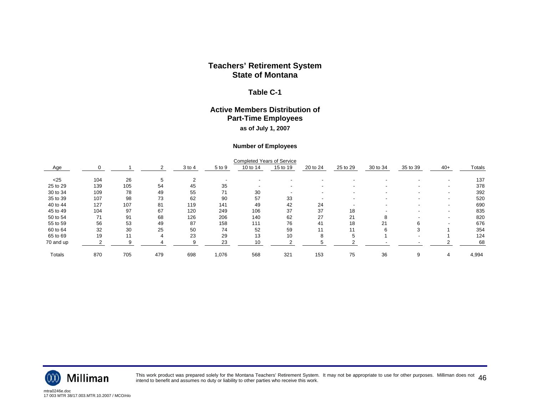#### **Table C-1**

#### **Active Members Distribution of Part-Time Employees as of July 1, 2007**

#### **Number of Employees**

|           |     |     |     |        |        | <b>Completed Years of Service</b> |          |          |                          |          |          |                          |        |
|-----------|-----|-----|-----|--------|--------|-----------------------------------|----------|----------|--------------------------|----------|----------|--------------------------|--------|
| Age       |     |     |     | 3 to 4 | 5 to 9 | 10 to 14                          | 15 to 19 | 20 to 24 | 25 to 29                 | 30 to 34 | 35 to 39 | $40+$                    | Totals |
| $25$      | 104 | 26  | 5   |        |        |                                   |          |          |                          |          |          | -                        | 137    |
| 25 to 29  | 139 | 105 | 54  | 45     | 35     |                                   |          |          | $\overline{\phantom{0}}$ |          |          | $\overline{\phantom{a}}$ | 378    |
| 30 to 34  | 109 | 78  | 49  | 55     | 71     | 30                                |          |          | $\overline{\phantom{0}}$ |          |          | $\overline{\phantom{0}}$ | 392    |
| 35 to 39  | 107 | 98  | 73  | 62     | 90     | 57                                | 33       |          |                          |          |          | -                        | 520    |
| 40 to 44  | 127 | 107 | 81  | 119    | 141    | 49                                | 42       | 24       |                          |          |          | $\overline{\phantom{a}}$ | 690    |
| 45 to 49  | 104 | 97  | 67  | 120    | 249    | 106                               | 37       | 37       | 18                       |          |          | $\overline{\phantom{a}}$ | 835    |
| 50 to 54  | 71  | 91  | 68  | 126    | 206    | 140                               | 62       | 27       | 21                       |          |          | $\overline{\phantom{0}}$ | 820    |
| 55 to 59  | 56  | 53  | 49  | 87     | 158    | 111                               | 76       | 41       | 18                       | 21       | 6        | -                        | 676    |
| 60 to 64  | 32  | 30  | 25  | 50     | 74     | 52                                | 59       | 11       | 11                       |          |          |                          | 354    |
| 65 to 69  | 19  | 11  |     | 23     | 29     | 13                                | 10       |          |                          |          |          |                          | 124    |
| 70 and up |     | 9   |     |        | 23     | 10                                |          |          |                          |          |          |                          | 68     |
| Totals    | 870 | 705 | 479 | 698    | 1,076  | 568                               | 321      | 153      | 75                       | 36       |          | 4                        | 4,994  |



This work product was prepared solely for the Montana Teachers' Retirement System. It may not be appropriate to use for other purposes. Milliman does not  $\ 46$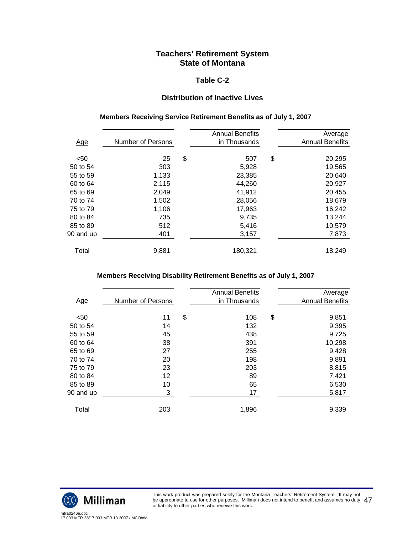## **Table C-2**

## **Distribution of Inactive Lives**

#### **Members Receiving Service Retirement Benefits as of July 1, 2007**

|            |                   | <b>Annual Benefits</b> | Average                |
|------------|-------------------|------------------------|------------------------|
| <u>Age</u> | Number of Persons | in Thousands           | <b>Annual Benefits</b> |
|            |                   |                        |                        |
| < 50       | 25                | \$<br>507              | \$<br>20,295           |
| 50 to 54   | 303               | 5,928                  | 19,565                 |
| 55 to 59   | 1,133             | 23,385                 | 20,640                 |
| 60 to 64   | 2,115             | 44,260                 | 20,927                 |
| 65 to 69   | 2,049             | 41,912                 | 20,455                 |
| 70 to 74   | 1,502             | 28,056                 | 18,679                 |
| 75 to 79   | 1,106             | 17,963                 | 16,242                 |
| 80 to 84   | 735               | 9,735                  | 13,244                 |
| 85 to 89   | 512               | 5,416                  | 10,579                 |
| 90 and up  | 401               | 3,157                  | 7,873                  |
|            |                   |                        |                        |
| Total      | 9,881             | 180,321                | 18,249                 |

### **Members Receiving Disability Retirement Benefits as of July 1, 2007**

| <u>Age</u> | Number of Persons | <b>Annual Benefits</b><br>in Thousands | Average<br><b>Annual Benefits</b> |
|------------|-------------------|----------------------------------------|-----------------------------------|
| < 50       | 11                | \$<br>108                              | \$<br>9,851                       |
| 50 to 54   | 14                | 132                                    | 9,395                             |
| 55 to 59   | 45                | 438                                    | 9,725                             |
| 60 to 64   | 38                | 391                                    | 10,298                            |
| 65 to 69   | 27                | 255                                    | 9,428                             |
| 70 to 74   | 20                | 198                                    | 9,891                             |
| 75 to 79   | 23                | 203                                    | 8,815                             |
| 80 to 84   | 12                | 89                                     | 7,421                             |
| 85 to 89   | 10                | 65                                     | 6,530                             |
| 90 and up  | 3                 | 17                                     | 5,817                             |
| Total      | 203               | 1,896                                  | 9,339                             |



This work product was prepared solely for the Montana Teachers' Retirement System. It may not be appropriate to use for other purposes. Milliman does not intend to benefit and assumes no duty be appropriate to use for other purposes. Milliman does not intend to benefit and assumes no duty  $\ 47$ <br>or liability to other parties who receive this work.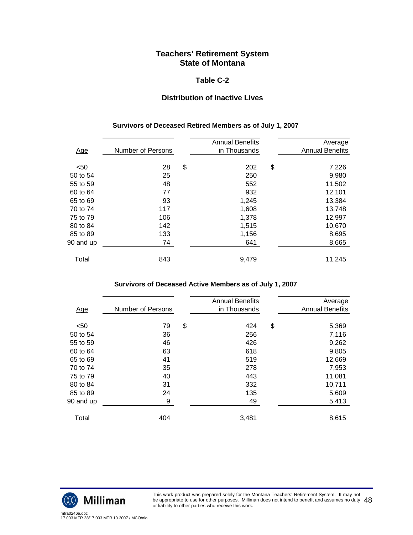### **Table C-2**

## **Distribution of Inactive Lives**

#### **Survivors of Deceased Retired Members as of July 1, 2007**

| <u>Age</u> | Number of Persons | <b>Annual Benefits</b><br>in Thousands | Average<br><b>Annual Benefits</b> |
|------------|-------------------|----------------------------------------|-----------------------------------|
| < 50       | 28                | \$<br>202                              | \$<br>7,226                       |
| 50 to 54   | 25                | 250                                    | 9,980                             |
| 55 to 59   | 48                | 552                                    | 11,502                            |
| 60 to 64   | 77                | 932                                    | 12,101                            |
| 65 to 69   | 93                | 1,245                                  | 13,384                            |
| 70 to 74   | 117               | 1,608                                  | 13,748                            |
| 75 to 79   | 106               | 1,378                                  | 12,997                            |
| 80 to 84   | 142               | 1,515                                  | 10,670                            |
| 85 to 89   | 133               | 1,156                                  | 8,695                             |
| 90 and up  | 74                | 641                                    | 8,665                             |
| Total      | 843               | 9,479                                  | 11,245                            |

#### **Survivors of Deceased Active Members as of July 1, 2007**

| <u>Age</u> | Number of Persons | <b>Annual Benefits</b><br>in Thousands | Average<br><b>Annual Benefits</b> |
|------------|-------------------|----------------------------------------|-----------------------------------|
|            |                   |                                        |                                   |
| < 50       | 79                | \$<br>424                              | \$<br>5,369                       |
| 50 to 54   | 36                | 256                                    | 7,116                             |
| 55 to 59   | 46                | 426                                    | 9,262                             |
| 60 to 64   | 63                | 618                                    | 9,805                             |
| 65 to 69   | 41                | 519                                    | 12,669                            |
| 70 to 74   | 35                | 278                                    | 7,953                             |
| 75 to 79   | 40                | 443                                    | 11,081                            |
| 80 to 84   | 31                | 332                                    | 10,711                            |
| 85 to 89   | 24                | 135                                    | 5,609                             |
| 90 and up  | 9                 | 49                                     | 5,413                             |
| Total      | 404               | 3,481                                  | 8,615                             |



This work product was prepared solely for the Montana Teachers' Retirement System. It may not be appropriate to use for other purposes. Milliman does not intend to benefit and assumes no duty be appropriate to use for other purposes. Milliman does not intend to benefit and assumes no duty  $\ 48$ <br>or liability to other parties who receive this work.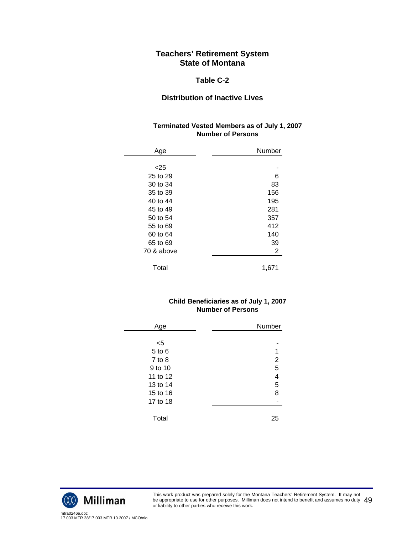#### **Table C-2**

## **Distribution of Inactive Lives**

#### **Terminated Vested Members as of July 1, 2007 Number of Persons**

| Age        | Number         |
|------------|----------------|
|            |                |
| $<$ 25     |                |
| 25 to 29   | 6              |
| 30 to 34   | 83             |
| 35 to 39   | 156            |
| 40 to 44   | 195            |
| 45 to 49   | 281            |
| 50 to 54   | 357            |
| 55 to 69   | 412            |
| 60 to 64   | 140            |
| 65 to 69   | 39             |
| 70 & above | $\overline{2}$ |
|            |                |
| Total      | 1,671          |

## **Child Beneficiaries as of July 1, 2007 Number of Persons**

| Age        | Number         |
|------------|----------------|
|            |                |
| $<$ 5      |                |
| 5 to 6     | 1              |
| $7$ to $8$ |                |
| 9 to 10    | $\frac{2}{5}$  |
| 11 to 12   | $\frac{4}{5}$  |
| 13 to 14   |                |
| 15 to 16   | $\overline{8}$ |
| 17 to 18   |                |
|            |                |
| Total      | 25             |



This work product was prepared solely for the Montana Teachers' Retirement System. It may not be appropriate to use for other purposes. Milliman does not intend to benefit and assumes no duty be appropriate to use for other purposes. Milliman does not intend to benefit and assumes no duty  $\ 49$ <br>or liability to other parties who receive this work.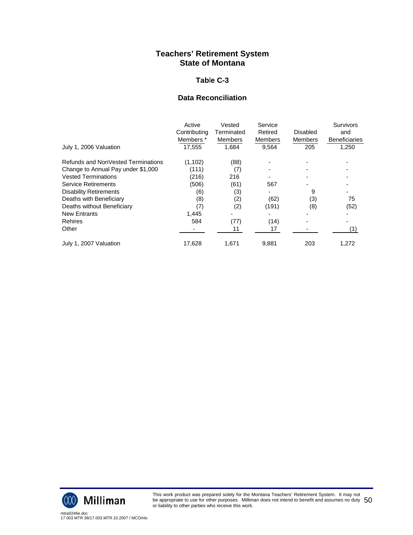#### **Tab**l**e C-3**

## **Data Reconciliation**

|                                    | Active<br>Contributing<br>Members * | Vested<br>Terminated<br><b>Members</b> | Service<br>Retired<br>Members | <b>Disabled</b><br>Members | Survivors<br>and<br><b>Beneficiaries</b> |
|------------------------------------|-------------------------------------|----------------------------------------|-------------------------------|----------------------------|------------------------------------------|
| July 1, 2006 Valuation             | 17.555                              | 1.684                                  | 9,564                         | 205                        | 1,250                                    |
| Refunds and NonVested Terminations | (1, 102)                            | (88)                                   |                               |                            |                                          |
| Change to Annual Pay under \$1,000 | (111)                               | (7)                                    |                               |                            |                                          |
| <b>Vested Terminations</b>         | (216)                               | 216                                    |                               |                            |                                          |
| <b>Service Retirements</b>         | (506)                               | (61)                                   | 567                           |                            |                                          |
| <b>Disability Retirements</b>      | (6)                                 | (3)                                    |                               | 9                          |                                          |
| Deaths with Beneficiary            | (8)                                 | (2)                                    | (62)                          | (3)                        | 75                                       |
| Deaths without Beneficiary         | (7)                                 | (2)                                    | (191)                         | (8)                        | (52)                                     |
| <b>New Entrants</b>                | 1,445                               |                                        |                               |                            |                                          |
| <b>Rehires</b>                     | 584                                 | (77)                                   | (14)                          |                            |                                          |
| Other                              |                                     | 11                                     | 17                            |                            | (1)                                      |
| July 1, 2007 Valuation             | 17,628                              | 1.671                                  | 9,881                         | 203                        | 1,272                                    |



This work product was prepared solely for the Montana Teachers' Retirement System. It may not be appropriate to use for other purposes. Milliman does not intend to benefit and assumes no duty be appropriate to use for other purposes. Milliman does not intend to benefit and assumes no duty  $\,50\,$ <br>or liability to other parties who receive this work.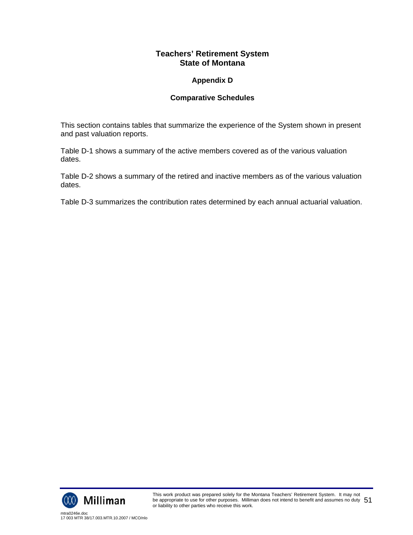## **Appendix D**

## **Comparative Schedules**

This section contains tables that summarize the experience of the System shown in present and past valuation reports.

Table D-1 shows a summary of the active members covered as of the various valuation dates.

Table D-2 shows a summary of the retired and inactive members as of the various valuation dates.

Table D-3 summarizes the contribution rates determined by each annual actuarial valuation.



This work product was prepared solely for the Montana Teachers' Retirement System. It may not be appropriate to use for other purposes. Milliman does not intend to benefit and assumes no duty  $\,51\,$ or liability to other parties who receive this work.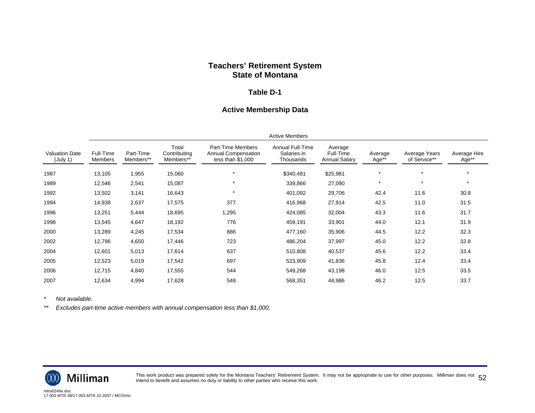#### **Table D-1**

### **Active Membership Data**

|                                   | <b>Active Members</b> |                        |                                    |                                                               |                                                     |                                              |                  |                               |                       |
|-----------------------------------|-----------------------|------------------------|------------------------------------|---------------------------------------------------------------|-----------------------------------------------------|----------------------------------------------|------------------|-------------------------------|-----------------------|
| <b>Valuation Date</b><br>(July 1) | Full-Time<br>Members  | Part-Time<br>Members** | Total<br>Contributing<br>Members** | Part-Time Members<br>Annual Compensation<br>less than \$1,000 | <b>Annual Full-Time</b><br>Salaries in<br>Thousands | Average<br>Full-Time<br><b>Annual Salary</b> | Average<br>Age** | Average Years<br>of Service** | Average Hire<br>Age** |
| 1987                              | 13,105                | 1,955                  | 15,060                             | $\star$                                                       | \$340,481                                           | \$25,981                                     | $\star$          | $\star$                       | $\star$               |
| 1989                              | 12,546                | 2,541                  | 15,087                             | $\star$                                                       | 339,866                                             | 27,090                                       | $\star$          | $\star$                       | $\star$               |
| 1992                              | 13,502                | 3,141                  | 16,643                             | $\star$                                                       | 401,092                                             | 29,706                                       | 42.4             | 11.6                          | 30.8                  |
| 1994                              | 14,938                | 2,637                  | 17,575                             | 377                                                           | 416,968                                             | 27,914                                       | 42.5             | 11.0                          | 31.5                  |
| 1996                              | 13,251                | 5,444                  | 18,695                             | 1,295                                                         | 424,085                                             | 32,004                                       | 43.3             | 11.6                          | 31.7                  |
| 1998                              | 13,545                | 4,647                  | 18,192                             | 776                                                           | 459,191                                             | 33,901                                       | 44.0             | 12.1                          | 31.9                  |
| 2000                              | 13,289                | 4,245                  | 17,534                             | 886                                                           | 477,160                                             | 35,906                                       | 44.5             | 12.2                          | 32.3                  |
| 2002                              | 12,796                | 4,650                  | 17,446                             | 723                                                           | 486,204                                             | 37,997                                       | 45.0             | 12.2                          | 32.8                  |
| 2004                              | 12,601                | 5,013                  | 17,614                             | 637                                                           | 510,808                                             | 40,537                                       | 45.6             | 12.2                          | 33.4                  |
| 2005                              | 12,523                | 5,019                  | 17,542                             | 697                                                           | 523,909                                             | 41,836                                       | 45.8             | 12.4                          | 33.4                  |
| 2006                              | 12,715                | 4,840                  | 17,555                             | 544                                                           | 549,268                                             | 43,198                                       | 46.0             | 12.5                          | 33.5                  |
| 2007                              | 12,634                | 4,994                  | 17,628                             | 548                                                           | 568,351                                             | 44,986                                       | 46.2             | 12.5                          | 33.7                  |

*\* Not available.* 

*\*\* Excludes part-time active members with annual compensation less than \$1,000.* 



This work product was prepared solely for the Montana Teachers' Retirement System. It may not be appropriate to use for other purposes. Milliman does not  $\,52$ <br>intend to benefit and assumes no duty or liability to other p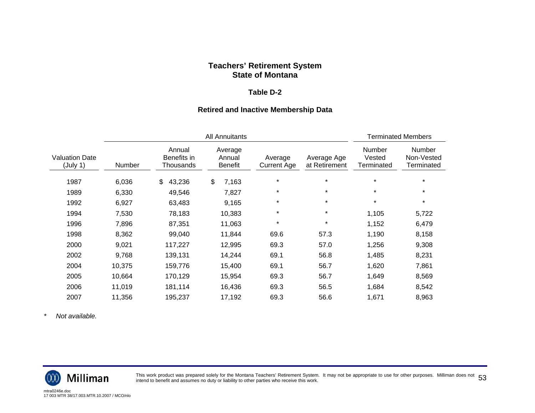#### **Table D-2**

## **Retired and Inactive Membership Data**

|                                   |               |                                    | <b>Terminated Members</b>           |                               |                              |                                |                                    |
|-----------------------------------|---------------|------------------------------------|-------------------------------------|-------------------------------|------------------------------|--------------------------------|------------------------------------|
| <b>Valuation Date</b><br>(July 1) | <b>Number</b> | Annual<br>Benefits in<br>Thousands | Average<br>Annual<br><b>Benefit</b> | Average<br><b>Current Age</b> | Average Age<br>at Retirement | Number<br>Vested<br>Terminated | Number<br>Non-Vested<br>Terminated |
| 1987                              | 6,036         | \$<br>43,236                       | \$<br>7,163                         | $\star$                       | $\star$                      | $\star$                        | $\star$                            |
| 1989                              | 6,330         | 49,546                             | 7,827                               | *                             | $\star$                      | $\star$                        | $\star$                            |
| 1992                              | 6,927         | 63,483                             | 9,165                               | $\star$                       | $\star$                      | $\star$                        | $\star$                            |
| 1994                              | 7,530         | 78,183                             | 10,383                              | *                             | $\star$                      | 1,105                          | 5,722                              |
| 1996                              | 7,896         | 87,351                             | 11,063                              | $\star$                       | $\star$                      | 1,152                          | 6,479                              |
| 1998                              | 8,362         | 99,040                             | 11,844                              | 69.6                          | 57.3                         | 1,190                          | 8,158                              |
| 2000                              | 9,021         | 117,227                            | 12,995                              | 69.3                          | 57.0                         | 1,256                          | 9,308                              |
| 2002                              | 9,768         | 139,131                            | 14,244                              | 69.1                          | 56.8                         | 1,485                          | 8,231                              |
| 2004                              | 10,375        | 159,776                            | 15,400                              | 69.1                          | 56.7                         | 1,620                          | 7,861                              |
| 2005                              | 10,664        | 170,129                            | 15,954                              | 69.3                          | 56.7                         | 1,649                          | 8,569                              |
| 2006                              | 11,019        | 181,114                            | 16,436                              | 69.3                          | 56.5                         | 1,684                          | 8,542                              |
| 2007                              | 11,356        | 195,237                            | 17,192                              | 69.3                          | 56.6                         | 1,671                          | 8,963                              |

*\* Not available.* 



This work product was prepared solely for the Montana Teachers' Retirement System. It may not be appropriate to use for other purposes. Milliman does not 53<br>intend to benefit and assumes no duty or liability to other parti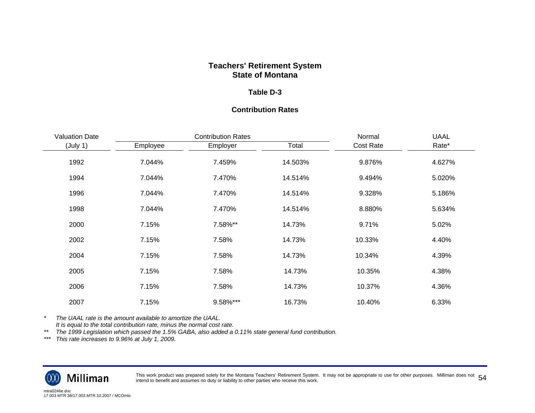#### **Table D-3**

## **Contribution Rates**

| <b>Valuation Date</b> | <b>Contribution Rates</b> |          |         | Normal    | <b>UAAL</b> |
|-----------------------|---------------------------|----------|---------|-----------|-------------|
| (July 1)              | Employee                  | Employer | Total   | Cost Rate | Rate*       |
| 1992                  | 7.044%                    | 7.459%   | 14.503% | 9.876%    | 4.627%      |
| 1994                  | 7.044%                    | 7.470%   | 14.514% | 9.494%    | 5.020%      |
| 1996                  | 7.044%                    | 7.470%   | 14.514% | 9.328%    | 5.186%      |
| 1998                  | 7.044%                    | 7.470%   | 14.514% | 8.880%    | 5.634%      |
| 2000                  | 7.15%                     | 7.58%**  | 14.73%  | 9.71%     | 5.02%       |
| 2002                  | 7.15%                     | 7.58%    | 14.73%  | 10.33%    | 4.40%       |
| 2004                  | 7.15%                     | 7.58%    | 14.73%  | 10.34%    | 4.39%       |
| 2005                  | 7.15%                     | 7.58%    | 14.73%  | 10.35%    | 4.38%       |
| 2006                  | 7.15%                     | 7.58%    | 14.73%  | 10.37%    | 4.36%       |
| 2007                  | 7.15%                     | 9.58%*** | 16.73%  | 10.40%    | 6.33%       |

*\* The UAAL rate is the amount available to amortize the UAAL.* 

 *It is equal to the total contribution rate, minus the normal cost rate.* 

*\*\* The 1999 Legislation which passed the 1.5% GABA, also added a 0.11% state general fund contribution.* 

*\*\*\* This rate increases to 9.96% at July 1, 2009.* 



This work product was prepared solely for the Montana Teachers' Retirement System. It may not be appropriate to use for other purposes. Milliman does not  $\,54$ <br>intend to benefit and assumes no duty or liability to other p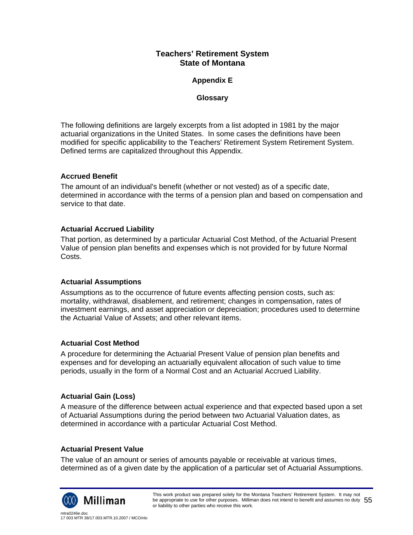## **Appendix E**

## **Glossary**

The following definitions are largely excerpts from a list adopted in 1981 by the major actuarial organizations in the United States. In some cases the definitions have been modified for specific applicability to the Teachers' Retirement System Retirement System. Defined terms are capitalized throughout this Appendix.

## **Accrued Benefit**

The amount of an individual's benefit (whether or not vested) as of a specific date, determined in accordance with the terms of a pension plan and based on compensation and service to that date.

## **Actuarial Accrued Liability**

That portion, as determined by a particular Actuarial Cost Method, of the Actuarial Present Value of pension plan benefits and expenses which is not provided for by future Normal Costs.

## **Actuarial Assumptions**

Assumptions as to the occurrence of future events affecting pension costs, such as: mortality, withdrawal, disablement, and retirement; changes in compensation, rates of investment earnings, and asset appreciation or depreciation; procedures used to determine the Actuarial Value of Assets; and other relevant items.

## **Actuarial Cost Method**

A procedure for determining the Actuarial Present Value of pension plan benefits and expenses and for developing an actuarially equivalent allocation of such value to time periods, usually in the form of a Normal Cost and an Actuarial Accrued Liability.

## **Actuarial Gain (Loss)**

A measure of the difference between actual experience and that expected based upon a set of Actuarial Assumptions during the period between two Actuarial Valuation dates, as determined in accordance with a particular Actuarial Cost Method.

## **Actuarial Present Value**

The value of an amount or series of amounts payable or receivable at various times, determined as of a given date by the application of a particular set of Actuarial Assumptions.

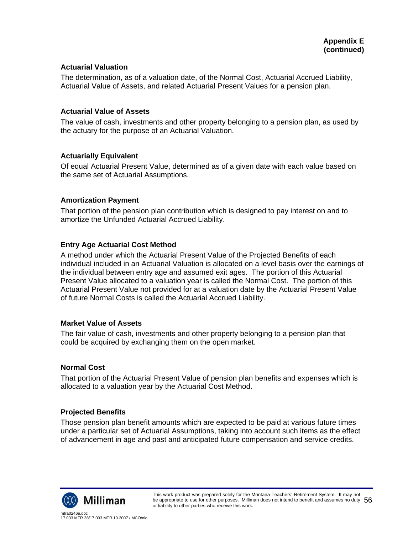## **Actuarial Valuation**

The determination, as of a valuation date, of the Normal Cost, Actuarial Accrued Liability, Actuarial Value of Assets, and related Actuarial Present Values for a pension plan.

#### **Actuarial Value of Assets**

The value of cash, investments and other property belonging to a pension plan, as used by the actuary for the purpose of an Actuarial Valuation.

#### **Actuarially Equivalent**

Of equal Actuarial Present Value, determined as of a given date with each value based on the same set of Actuarial Assumptions.

#### **Amortization Payment**

That portion of the pension plan contribution which is designed to pay interest on and to amortize the Unfunded Actuarial Accrued Liability.

## **Entry Age Actuarial Cost Method**

A method under which the Actuarial Present Value of the Projected Benefits of each individual included in an Actuarial Valuation is allocated on a level basis over the earnings of the individual between entry age and assumed exit ages. The portion of this Actuarial Present Value allocated to a valuation year is called the Normal Cost. The portion of this Actuarial Present Value not provided for at a valuation date by the Actuarial Present Value of future Normal Costs is called the Actuarial Accrued Liability.

#### **Market Value of Assets**

The fair value of cash, investments and other property belonging to a pension plan that could be acquired by exchanging them on the open market.

#### **Normal Cost**

That portion of the Actuarial Present Value of pension plan benefits and expenses which is allocated to a valuation year by the Actuarial Cost Method.

## **Projected Benefits**

Those pension plan benefit amounts which are expected to be paid at various future times under a particular set of Actuarial Assumptions, taking into account such items as the effect of advancement in age and past and anticipated future compensation and service credits.



This work product was prepared solely for the Montana Teachers' Retirement System. It may not